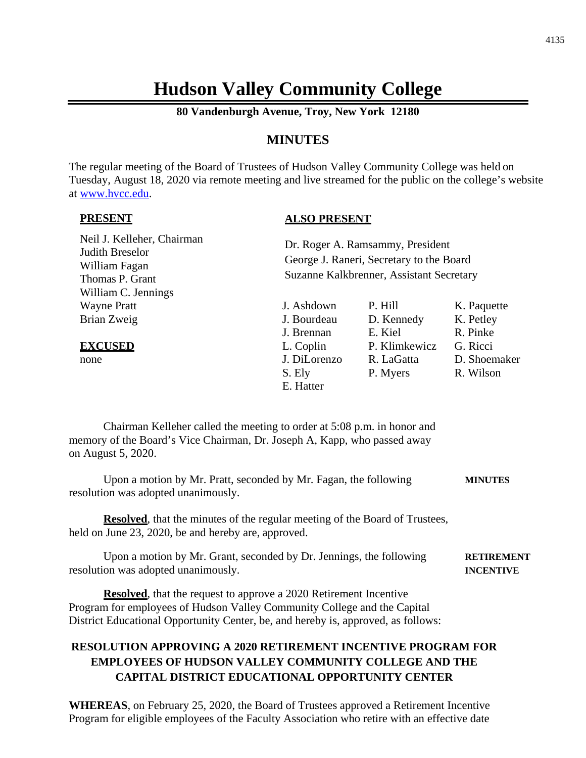# **Hudson Valley Community College**

**80 Vandenburgh Avenue, Troy, New York 12180**

## **MINUTES**

The regular meeting of the Board of Trustees of Hudson Valley Community College was held on Tuesday, August 18, 2020 via remote meeting and live streamed for the public on the college's website at [www.hvcc.edu.](http://www.hvcc.edu/)

#### **PRESENT**

#### **ALSO PRESENT**

| Neil J. Kelleher, Chairman<br>Judith Breselor<br>William Fagan<br>Thomas P. Grant<br>William C. Jennings                                                                  |                                                                                             | Dr. Roger A. Ramsammy, President<br>George J. Raneri, Secretary to the Board<br>Suzanne Kalkbrenner, Assistant Secretary |                                                                               |
|---------------------------------------------------------------------------------------------------------------------------------------------------------------------------|---------------------------------------------------------------------------------------------|--------------------------------------------------------------------------------------------------------------------------|-------------------------------------------------------------------------------|
| <b>Wayne Pratt</b><br>Brian Zweig<br><b>EXCUSED</b><br>none                                                                                                               | J. Ashdown<br>J. Bourdeau<br>J. Brennan<br>L. Coplin<br>J. DiLorenzo<br>S. Ely<br>E. Hatter | P. Hill<br>D. Kennedy<br>E. Kiel<br>P. Klimkewicz<br>R. LaGatta<br>P. Myers                                              | K. Paquette<br>K. Petley<br>R. Pinke<br>G. Ricci<br>D. Shoemaker<br>R. Wilson |
| Chairman Kelleher called the meeting to order at 5:08 p.m. in honor and<br>memory of the Board's Vice Chairman, Dr. Joseph A, Kapp, who passed away<br>on August 5, 2020. |                                                                                             |                                                                                                                          |                                                                               |
| Upon a motion by Mr. Pratt, seconded by Mr. Fagan, the following<br>resolution was adopted unanimously.                                                                   |                                                                                             |                                                                                                                          | <b>MINUTES</b>                                                                |

**Resolved**, that the minutes of the regular meeting of the Board of Trustees, held on June 23, 2020, be and hereby are, approved.

Upon a motion by Mr. Grant, seconded by Dr. Jennings, the following **RETIREMENT** resolution was adopted unanimously. **INCENTIVE**

**Resolved**, that the request to approve a 2020 Retirement Incentive Program for employees of Hudson Valley Community College and the Capital District Educational Opportunity Center, be, and hereby is, approved, as follows:

# **RESOLUTION APPROVING A 2020 RETIREMENT INCENTIVE PROGRAM FOR EMPLOYEES OF HUDSON VALLEY COMMUNITY COLLEGE AND THE CAPITAL DISTRICT EDUCATIONAL OPPORTUNITY CENTER**

**WHEREAS**, on February 25, 2020, the Board of Trustees approved a Retirement Incentive Program for eligible employees of the Faculty Association who retire with an effective date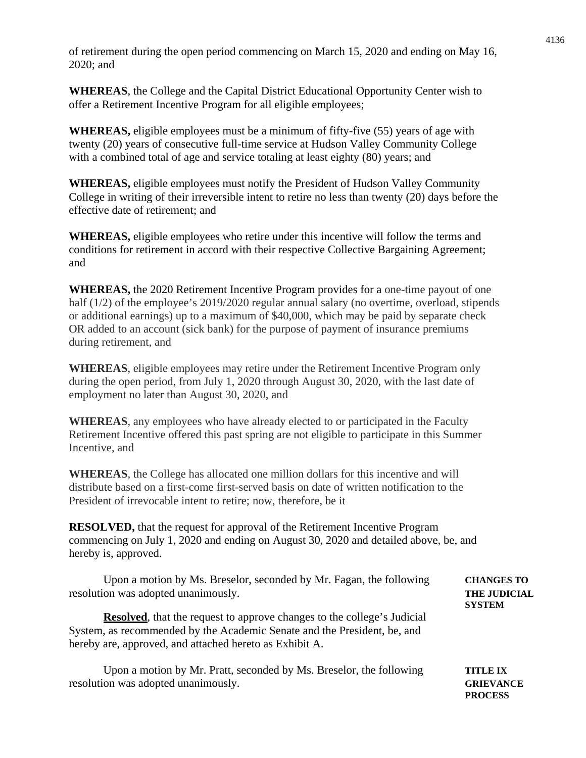of retirement during the open period commencing on March 15, 2020 and ending on May 16, 2020; and

**WHEREAS**, the College and the Capital District Educational Opportunity Center wish to offer a Retirement Incentive Program for all eligible employees;

**WHEREAS,** eligible employees must be a minimum of fifty-five (55) years of age with twenty (20) years of consecutive full-time service at Hudson Valley Community College with a combined total of age and service totaling at least eighty (80) years; and

**WHEREAS,** eligible employees must notify the President of Hudson Valley Community College in writing of their irreversible intent to retire no less than twenty (20) days before the effective date of retirement; and

**WHEREAS,** eligible employees who retire under this incentive will follow the terms and conditions for retirement in accord with their respective Collective Bargaining Agreement; and

**WHEREAS,** the 2020 Retirement Incentive Program provides for a one-time payout of one half (1/2) of the employee's 2019/2020 regular annual salary (no overtime, overload, stipends or additional earnings) up to a maximum of \$40,000, which may be paid by separate check OR added to an account (sick bank) for the purpose of payment of insurance premiums during retirement, and

**WHEREAS**, eligible employees may retire under the Retirement Incentive Program only during the open period, from July 1, 2020 through August 30, 2020, with the last date of employment no later than August 30, 2020, and

**WHEREAS**, any employees who have already elected to or participated in the Faculty Retirement Incentive offered this past spring are not eligible to participate in this Summer Incentive, and

**WHEREAS**, the College has allocated one million dollars for this incentive and will distribute based on a first-come first-served basis on date of written notification to the President of irrevocable intent to retire; now, therefore, be it

**RESOLVED,** that the request for approval of the Retirement Incentive Program commencing on July 1, 2020 and ending on August 30, 2020 and detailed above, be, and hereby is, approved.

Upon a motion by Ms. Breselor, seconded by Mr. Fagan, the following **CHANGES TO** resolution was adopted unanimously. **THE JUDICIAL** 

**Resolved**, that the request to approve changes to the college's Judicial System, as recommended by the Academic Senate and the President, be, and hereby are, approved, and attached hereto as Exhibit A.

Upon a motion by Mr. Pratt, seconded by Ms. Breselor, the following **TITLE IX** resolution was adopted unanimously. **GRIEVANCE PROCESS**

**SYSTEM**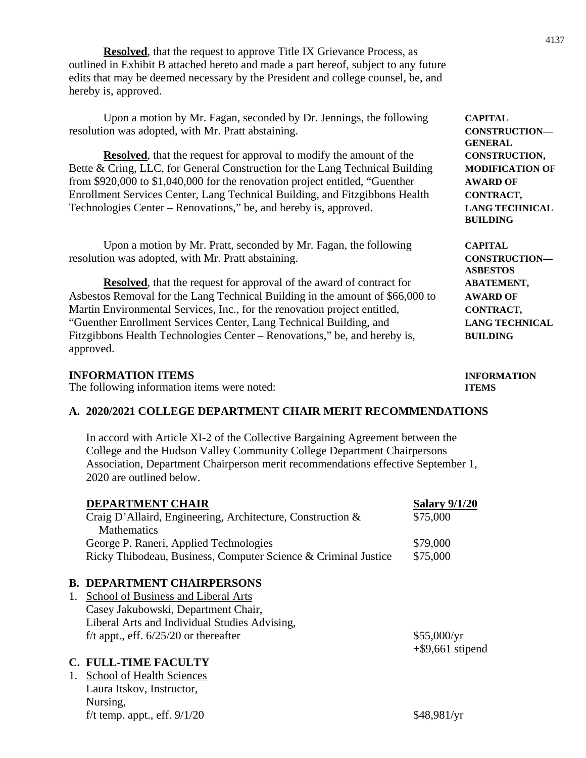**Resolved**, that the request to approve Title IX Grievance Process, as outlined in Exhibit B attached hereto and made a part hereof, subject to any future edits that may be deemed necessary by the President and college counsel, be, and hereby is, approved.

Upon a motion by Mr. Fagan, seconded by Dr. Jennings, the following **CAPITAL** resolution was adopted, with Mr. Pratt abstaining. **CONSTRUCTION—**

**Resolved**, that the request for approval to modify the amount of the **CONSTRUCTION**, Bette & Cring, LLC, for General Construction for the Lang Technical Building **MODIFICATION OF** from \$920,000 to \$1,040,000 for the renovation project entitled, "Guenther **AWARD OF** Enrollment Services Center, Lang Technical Building, and Fitzgibbons Health **CONTRACT,** Technologies Center – Renovations," be, and hereby is, approved. **LANG TECHNICAL**

Upon a motion by Mr. Pratt, seconded by Mr. Fagan, the following **CAPITAL** resolution was adopted, with Mr. Pratt abstaining. **CONSTRUCTION—**

**Resolved**, that the request for approval of the award of contract for **ABATEMENT**, Asbestos Removal for the Lang Technical Building in the amount of \$66,000 to **AWARD OF** Martin Environmental Services, Inc., for the renovation project entitled, **CONTRACT,** "Guenther Enrollment Services Center, Lang Technical Building, and **LANG TECHNICAL** Fitzgibbons Health Technologies Center – Renovations," be, and hereby is, **BUILDING** approved.

#### **INFORMATION ITEMS INFORMATION**

The following information items were noted: **ITEMS**

## **A. 2020/2021 COLLEGE DEPARTMENT CHAIR MERIT RECOMMENDATIONS**

In accord with Article XI-2 of the Collective Bargaining Agreement between the College and the Hudson Valley Community College Department Chairpersons Association, Department Chairperson merit recommendations effective September 1, 2020 are outlined below.

|    | <b>DEPARTMENT CHAIR</b>                                        | <b>Salary 9/1/20</b> |
|----|----------------------------------------------------------------|----------------------|
|    | Craig D'Allaird, Engineering, Architecture, Construction &     | \$75,000             |
|    | <b>Mathematics</b>                                             |                      |
|    | George P. Raneri, Applied Technologies                         | \$79,000             |
|    | Ricky Thibodeau, Business, Computer Science & Criminal Justice | \$75,000             |
|    |                                                                |                      |
|    | <b>B. DEPARTMENT CHAIRPERSONS</b>                              |                      |
| 1. | School of Business and Liberal Arts                            |                      |
|    | Casey Jakubowski, Department Chair,                            |                      |
|    | Liberal Arts and Individual Studies Advising,                  |                      |
|    | f/t appt., eff. $6/25/20$ or thereafter                        | \$55,000/yr          |
|    |                                                                | $+$ \$9,661 stipend  |
|    | <b>C. FULL-TIME FACULTY</b>                                    |                      |
|    | 1. School of Health Sciences                                   |                      |
|    | Laura Itskov, Instructor,                                      |                      |
|    | Nursing,                                                       |                      |

**GENERAL BUILDING**

**ASBESTOS** 

f/t temp. appt., eff.  $9/1/20$  \$48,981/yr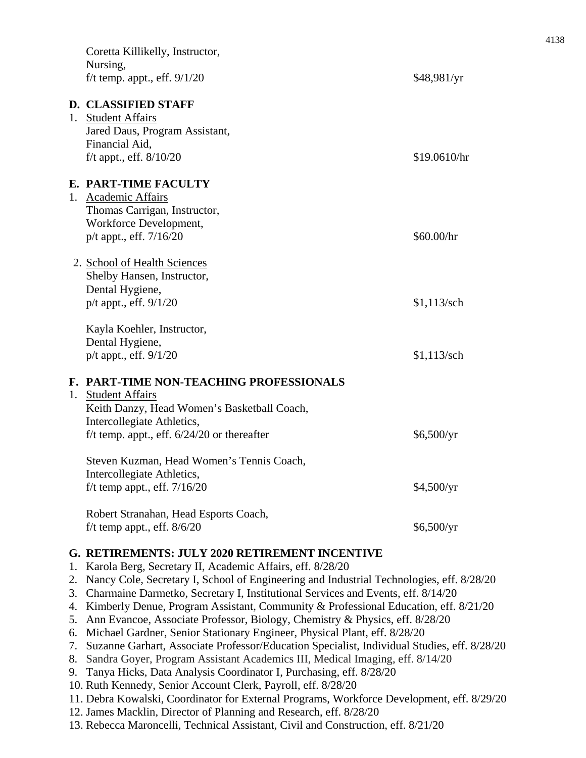|                                              | Coretta Killikelly, Instructor,<br>Nursing,<br>f/t temp. appt., eff. $9/1/20$                                                                                                                                                                                                                                                                                                                                                                                                                                                                                                                                                                                                                                                                                                                                                                                                                                                                                                                                                                                                                                                     | \$48,981/yr                            |
|----------------------------------------------|-----------------------------------------------------------------------------------------------------------------------------------------------------------------------------------------------------------------------------------------------------------------------------------------------------------------------------------------------------------------------------------------------------------------------------------------------------------------------------------------------------------------------------------------------------------------------------------------------------------------------------------------------------------------------------------------------------------------------------------------------------------------------------------------------------------------------------------------------------------------------------------------------------------------------------------------------------------------------------------------------------------------------------------------------------------------------------------------------------------------------------------|----------------------------------------|
| 1.                                           | <b>D. CLASSIFIED STAFF</b><br><b>Student Affairs</b><br>Jared Daus, Program Assistant,<br>Financial Aid,<br>$f/t$ appt., eff. $8/10/20$                                                                                                                                                                                                                                                                                                                                                                                                                                                                                                                                                                                                                                                                                                                                                                                                                                                                                                                                                                                           | \$19.0610/hr                           |
| 1.                                           | E. PART-TIME FACULTY<br><b>Academic Affairs</b><br>Thomas Carrigan, Instructor,<br>Workforce Development,<br>p/t appt., eff. 7/16/20                                                                                                                                                                                                                                                                                                                                                                                                                                                                                                                                                                                                                                                                                                                                                                                                                                                                                                                                                                                              | \$60.00/hr                             |
|                                              | 2. School of Health Sciences<br>Shelby Hansen, Instructor,<br>Dental Hygiene,<br>p/t appt., eff. 9/1/20                                                                                                                                                                                                                                                                                                                                                                                                                                                                                                                                                                                                                                                                                                                                                                                                                                                                                                                                                                                                                           | $$1,113$ /sch                          |
|                                              | Kayla Koehler, Instructor,<br>Dental Hygiene,<br>$p/t$ appt., eff. $9/1/20$                                                                                                                                                                                                                                                                                                                                                                                                                                                                                                                                                                                                                                                                                                                                                                                                                                                                                                                                                                                                                                                       | $$1,113$ /sch                          |
| 1.                                           | F. PART-TIME NON-TEACHING PROFESSIONALS<br><b>Student Affairs</b><br>Keith Danzy, Head Women's Basketball Coach,<br>Intercollegiate Athletics,<br>f/t temp. appt., eff. $6/24/20$ or thereafter<br>Steven Kuzman, Head Women's Tennis Coach,<br>Intercollegiate Athletics,<br>f/t temp appt., eff. $7/16/20$<br>Robert Stranahan, Head Esports Coach,<br>f/t temp appt., eff. $8/6/20$                                                                                                                                                                                                                                                                                                                                                                                                                                                                                                                                                                                                                                                                                                                                            | \$6,500/yr<br>\$4,500/yr<br>\$6,500/yr |
| 1.<br>2.<br>3.<br>4.<br>5.<br>6.<br>7.<br>9. | G. RETIREMENTS: JULY 2020 RETIREMENT INCENTIVE<br>Karola Berg, Secretary II, Academic Affairs, eff. 8/28/20<br>Nancy Cole, Secretary I, School of Engineering and Industrial Technologies, eff. 8/28/20<br>Charmaine Darmetko, Secretary I, Institutional Services and Events, eff. 8/14/20<br>Kimberly Denue, Program Assistant, Community & Professional Education, eff. 8/21/20<br>Ann Evancoe, Associate Professor, Biology, Chemistry & Physics, eff. 8/28/20<br>Michael Gardner, Senior Stationary Engineer, Physical Plant, eff. 8/28/20<br>Suzanne Garhart, Associate Professor/Education Specialist, Individual Studies, eff. 8/28/20<br>8. Sandra Goyer, Program Assistant Academics III, Medical Imaging, eff. 8/14/20<br>Tanya Hicks, Data Analysis Coordinator I, Purchasing, eff. 8/28/20<br>10. Ruth Kennedy, Senior Account Clerk, Payroll, eff. 8/28/20<br>11. Debra Kowalski, Coordinator for External Programs, Workforce Development, eff. 8/29/20<br>12. James Macklin, Director of Planning and Research, eff. 8/28/20<br>13. Rebecca Maroncelli, Technical Assistant, Civil and Construction, eff. 8/21/20 |                                        |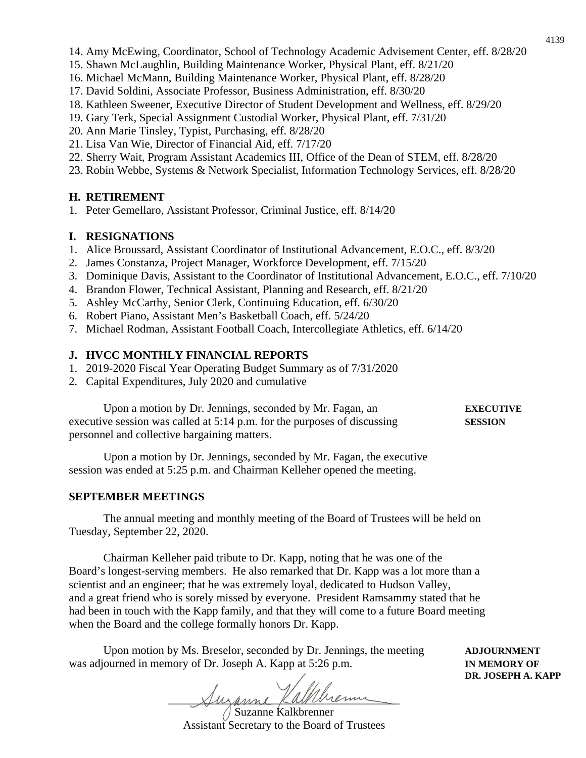- 14. Amy McEwing, Coordinator, School of Technology Academic Advisement Center, eff. 8/28/20
- 15. Shawn McLaughlin, Building Maintenance Worker, Physical Plant, eff. 8/21/20
- 16. Michael McMann, Building Maintenance Worker, Physical Plant, eff. 8/28/20
- 17. David Soldini, Associate Professor, Business Administration, eff. 8/30/20
- 18. Kathleen Sweener, Executive Director of Student Development and Wellness, eff. 8/29/20
- 19. Gary Terk, Special Assignment Custodial Worker, Physical Plant, eff. 7/31/20
- 20. Ann Marie Tinsley, Typist, Purchasing, eff. 8/28/20
- 21. Lisa Van Wie, Director of Financial Aid, eff. 7/17/20
- 22. Sherry Wait, Program Assistant Academics III, Office of the Dean of STEM, eff. 8/28/20
- 23. Robin Webbe, Systems & Network Specialist, Information Technology Services, eff. 8/28/20

## **H. RETIREMENT**

1. Peter Gemellaro, Assistant Professor, Criminal Justice, eff. 8/14/20

## **I. RESIGNATIONS**

- 1. Alice Broussard, Assistant Coordinator of Institutional Advancement, E.O.C., eff. 8/3/20
- 2. James Constanza, Project Manager, Workforce Development, eff. 7/15/20
- 3. Dominique Davis, Assistant to the Coordinator of Institutional Advancement, E.O.C., eff. 7/10/20
- 4. Brandon Flower, Technical Assistant, Planning and Research, eff. 8/21/20
- 5. Ashley McCarthy, Senior Clerk, Continuing Education, eff. 6/30/20
- 6. Robert Piano, Assistant Men's Basketball Coach, eff. 5/24/20
- 7. Michael Rodman, Assistant Football Coach, Intercollegiate Athletics, eff. 6/14/20

## **J. HVCC MONTHLY FINANCIAL REPORTS**

- 1. 2019-2020 Fiscal Year Operating Budget Summary as of 7/31/2020
- 2. Capital Expenditures, July 2020 and cumulative

Upon a motion by Dr. Jennings, seconded by Mr. Fagan, an **EXECUTIVE** executive session was called at 5:14 p.m. for the purposes of discussing **SESSION** personnel and collective bargaining matters.

Upon a motion by Dr. Jennings, seconded by Mr. Fagan, the executive session was ended at 5:25 p.m. and Chairman Kelleher opened the meeting.

## **SEPTEMBER MEETINGS**

The annual meeting and monthly meeting of the Board of Trustees will be held on Tuesday, September 22, 2020.

Chairman Kelleher paid tribute to Dr. Kapp, noting that he was one of the Board's longest-serving members. He also remarked that Dr. Kapp was a lot more than a scientist and an engineer; that he was extremely loyal, dedicated to Hudson Valley, and a great friend who is sorely missed by everyone. President Ramsammy stated that he had been in touch with the Kapp family, and that they will come to a future Board meeting when the Board and the college formally honors Dr. Kapp.

Upon motion by Ms. Breselor, seconded by Dr. Jennings, the meeting **ADJOURNMENT** was adjourned in memory of Dr. Joseph A. Kapp at 5:26 p.m. **IN MEMORY OF** 

Suzanne Kalkhem

Suzanne Kalkbrenner Assistant Secretary to the Board of Trustees

**DR. JOSEPH A. KAPP**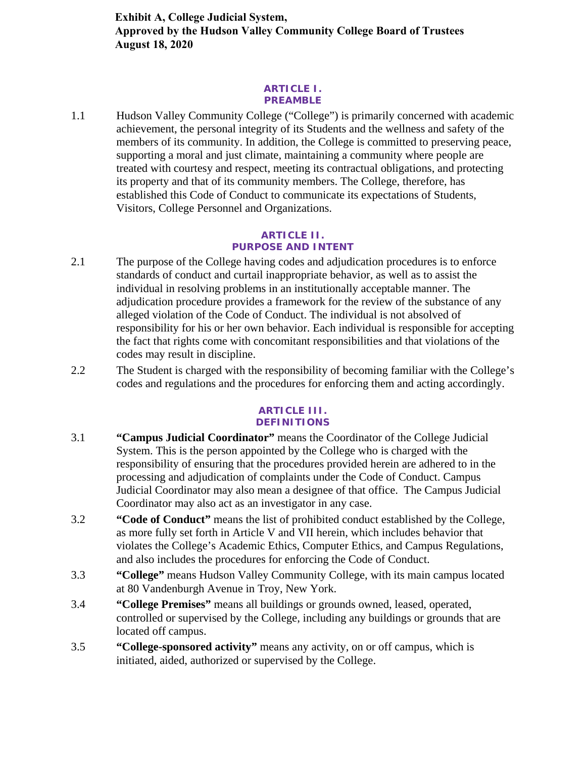**Exhibit A, College Judicial System, Approved by the Hudson Valley Community College Board of Trustees August 18, 2020**

#### **ARTICLE I. PREAMBLE**

1.1 Hudson Valley Community College ("College") is primarily concerned with academic achievement, the personal integrity of its Students and the wellness and safety of the members of its community. In addition, the College is committed to preserving peace, supporting a moral and just climate, maintaining a community where people are treated with courtesy and respect, meeting its contractual obligations, and protecting its property and that of its community members. The College, therefore, has established this Code of Conduct to communicate its expectations of Students, Visitors, College Personnel and Organizations.

#### **ARTICLE II. PURPOSE AND INTENT**

- 2.1 The purpose of the College having codes and adjudication procedures is to enforce standards of conduct and curtail inappropriate behavior, as well as to assist the individual in resolving problems in an institutionally acceptable manner. The adjudication procedure provides a framework for the review of the substance of any alleged violation of the Code of Conduct. The individual is not absolved of responsibility for his or her own behavior. Each individual is responsible for accepting the fact that rights come with concomitant responsibilities and that violations of the codes may result in discipline.
- 2.2 The Student is charged with the responsibility of becoming familiar with the College's codes and regulations and the procedures for enforcing them and acting accordingly.

#### **ARTICLE III. DEFINITIONS**

- 3.1 **"Campus Judicial Coordinator"** means the Coordinator of the College Judicial System. This is the person appointed by the College who is charged with the responsibility of ensuring that the procedures provided herein are adhered to in the processing and adjudication of complaints under the Code of Conduct. Campus Judicial Coordinator may also mean a designee of that office. The Campus Judicial Coordinator may also act as an investigator in any case.
- 3.2 **"Code of Conduct"** means the list of prohibited conduct established by the College, as more fully set forth in Article V and VII herein, which includes behavior that violates the College's Academic Ethics, Computer Ethics, and Campus Regulations, and also includes the procedures for enforcing the Code of Conduct.
- 3.3 **"College"** means Hudson Valley Community College, with its main campus located at 80 Vandenburgh Avenue in Troy, New York.
- 3.4 **"College Premises"** means all buildings or grounds owned, leased, operated, controlled or supervised by the College, including any buildings or grounds that are located off campus.
- 3.5 **"College-sponsored activity"** means any activity, on or off campus, which is initiated, aided, authorized or supervised by the College.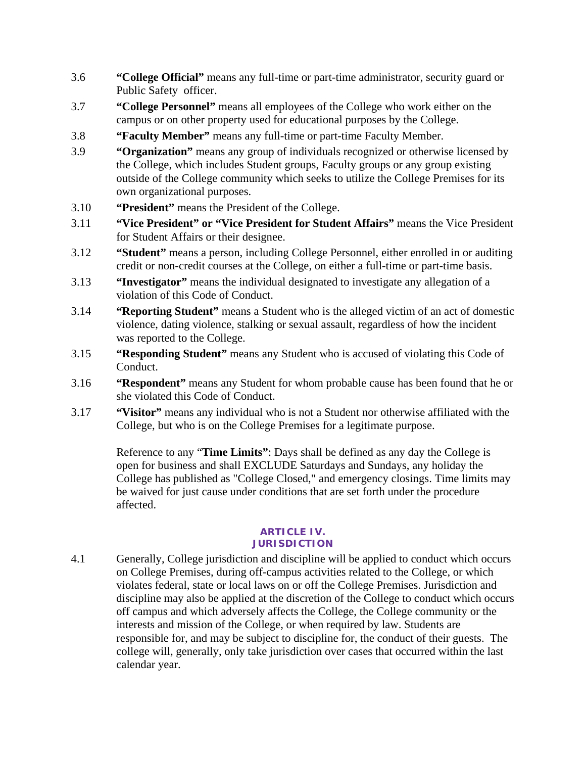- 3.6 **"College Official"** means any full-time or part-time administrator, security guard or Public Safety officer.
- 3.7 **"College Personnel"** means all employees of the College who work either on the campus or on other property used for educational purposes by the College.
- 3.8 **"Faculty Member"** means any full-time or part-time Faculty Member.
- 3.9 **"Organization"** means any group of individuals recognized or otherwise licensed by the College, which includes Student groups, Faculty groups or any group existing outside of the College community which seeks to utilize the College Premises for its own organizational purposes.
- 3.10 **"President"** means the President of the College.
- 3.11 **"Vice President" or "Vice President for Student Affairs"** means the Vice President for Student Affairs or their designee.
- 3.12 **"Student"** means a person, including College Personnel, either enrolled in or auditing credit or non-credit courses at the College, on either a full-time or part-time basis.
- 3.13 **"Investigator"** means the individual designated to investigate any allegation of a violation of this Code of Conduct.
- 3.14 **"Reporting Student"** means a Student who is the alleged victim of an act of domestic violence, dating violence, stalking or sexual assault, regardless of how the incident was reported to the College.
- 3.15 **"Responding Student"** means any Student who is accused of violating this Code of Conduct.
- 3.16 **"Respondent"** means any Student for whom probable cause has been found that he or she violated this Code of Conduct.
- 3.17 **"Visitor"** means any individual who is not a Student nor otherwise affiliated with the College, but who is on the College Premises for a legitimate purpose.

Reference to any "**Time Limits"**: Days shall be defined as any day the College is open for business and shall EXCLUDE Saturdays and Sundays, any holiday the College has published as "College Closed," and emergency closings. Time limits may be waived for just cause under conditions that are set forth under the procedure affected.

#### **ARTICLE IV. JURISDICTION**

4.1 Generally, College jurisdiction and discipline will be applied to conduct which occurs on College Premises, during off-campus activities related to the College, or which violates federal, state or local laws on or off the College Premises. Jurisdiction and discipline may also be applied at the discretion of the College to conduct which occurs off campus and which adversely affects the College, the College community or the interests and mission of the College, or when required by law. Students are responsible for, and may be subject to discipline for, the conduct of their guests. The college will, generally, only take jurisdiction over cases that occurred within the last calendar year.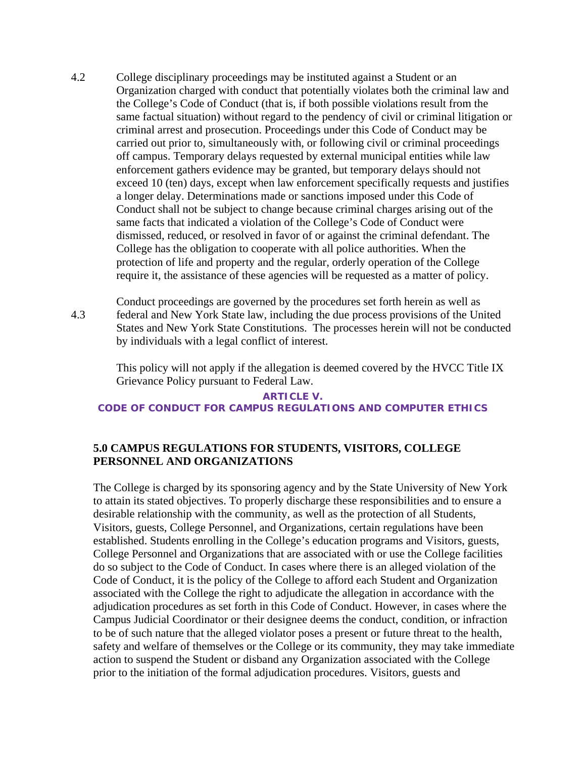- 4.2 College disciplinary proceedings may be instituted against a Student or an Organization charged with conduct that potentially violates both the criminal law and the College's Code of Conduct (that is, if both possible violations result from the same factual situation) without regard to the pendency of civil or criminal litigation or criminal arrest and prosecution. Proceedings under this Code of Conduct may be carried out prior to, simultaneously with, or following civil or criminal proceedings off campus. Temporary delays requested by external municipal entities while law enforcement gathers evidence may be granted, but temporary delays should not exceed 10 (ten) days, except when law enforcement specifically requests and justifies a longer delay. Determinations made or sanctions imposed under this Code of Conduct shall not be subject to change because criminal charges arising out of the same facts that indicated a violation of the College's Code of Conduct were dismissed, reduced, or resolved in favor of or against the criminal defendant. The College has the obligation to cooperate with all police authorities. When the protection of life and property and the regular, orderly operation of the College require it, the assistance of these agencies will be requested as a matter of policy.
- 4.3 Conduct proceedings are governed by the procedures set forth herein as well as federal and New York State law, including the due process provisions of the United States and New York State Constitutions. The processes herein will not be conducted by individuals with a legal conflict of interest.

This policy will not apply if the allegation is deemed covered by the HVCC Title IX Grievance Policy pursuant to Federal Law.

#### **ARTICLE V. CODE OF CONDUCT FOR CAMPUS REGULATIONS AND COMPUTER ETHICS**

## **5.0 CAMPUS REGULATIONS FOR STUDENTS, VISITORS, COLLEGE PERSONNEL AND ORGANIZATIONS**

The College is charged by its sponsoring agency and by the State University of New York to attain its stated objectives. To properly discharge these responsibilities and to ensure a desirable relationship with the community, as well as the protection of all Students, Visitors, guests, College Personnel, and Organizations, certain regulations have been established. Students enrolling in the College's education programs and Visitors, guests, College Personnel and Organizations that are associated with or use the College facilities do so subject to the Code of Conduct. In cases where there is an alleged violation of the Code of Conduct, it is the policy of the College to afford each Student and Organization associated with the College the right to adjudicate the allegation in accordance with the adjudication procedures as set forth in this Code of Conduct. However, in cases where the Campus Judicial Coordinator or their designee deems the conduct, condition, or infraction to be of such nature that the alleged violator poses a present or future threat to the health, safety and welfare of themselves or the College or its community, they may take immediate action to suspend the Student or disband any Organization associated with the College prior to the initiation of the formal adjudication procedures. Visitors, guests and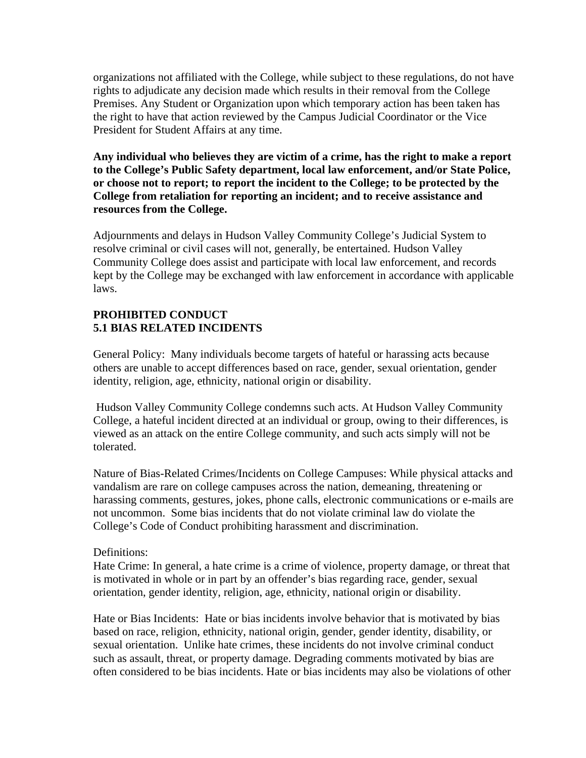organizations not affiliated with the College, while subject to these regulations, do not have rights to adjudicate any decision made which results in their removal from the College Premises. Any Student or Organization upon which temporary action has been taken has the right to have that action reviewed by the Campus Judicial Coordinator or the Vice President for Student Affairs at any time.

**Any individual who believes they are victim of a crime, has the right to make a report to the College's Public Safety department, local law enforcement, and/or State Police, or choose not to report; to report the incident to the College; to be protected by the College from retaliation for reporting an incident; and to receive assistance and resources from the College.** 

Adjournments and delays in Hudson Valley Community College's Judicial System to resolve criminal or civil cases will not, generally, be entertained. Hudson Valley Community College does assist and participate with local law enforcement, and records kept by the College may be exchanged with law enforcement in accordance with applicable laws.

## **PROHIBITED CONDUCT 5.1 BIAS RELATED INCIDENTS**

General Policy: Many individuals become targets of hateful or harassing acts because others are unable to accept differences based on race, gender, sexual orientation, gender identity, religion, age, ethnicity, national origin or disability.

Hudson Valley Community College condemns such acts. At Hudson Valley Community College, a hateful incident directed at an individual or group, owing to their differences, is viewed as an attack on the entire College community, and such acts simply will not be tolerated.

Nature of Bias-Related Crimes/Incidents on College Campuses: While physical attacks and vandalism are rare on college campuses across the nation, demeaning, threatening or harassing comments, gestures, jokes, phone calls, electronic communications or e-mails are not uncommon. Some bias incidents that do not violate criminal law do violate the College's Code of Conduct prohibiting harassment and discrimination.

## Definitions:

Hate Crime: In general, a hate crime is a crime of violence, property damage, or threat that is motivated in whole or in part by an offender's bias regarding race, gender, sexual orientation, gender identity, religion, age, ethnicity, national origin or disability.

Hate or Bias Incidents: Hate or bias incidents involve behavior that is motivated by bias based on race, religion, ethnicity, national origin, gender, gender identity, disability, or sexual orientation. Unlike hate crimes, these incidents do not involve criminal conduct such as assault, threat, or property damage. Degrading comments motivated by bias are often considered to be bias incidents. Hate or bias incidents may also be violations of other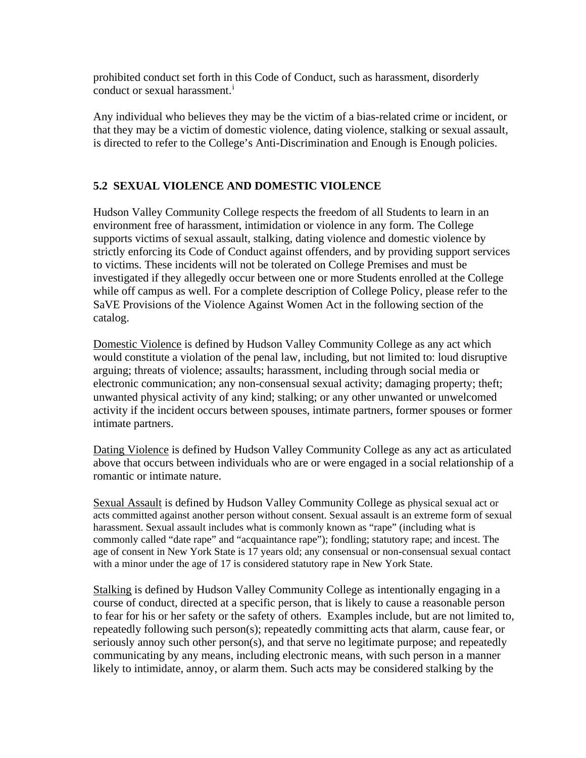prohibited conduct set forth in this Code of Conduct, such as harassment, disorderly conduct or sexual harassment.<sup>[i](#page-26-0)</sup>

Any individual who believes they may be the victim of a bias-related crime or incident, or that they may be a victim of domestic violence, dating violence, stalking or sexual assault, is directed to refer to the College's Anti-Discrimination and Enough is Enough policies.

## **5.2 SEXUAL VIOLENCE AND DOMESTIC VIOLENCE**

Hudson Valley Community College respects the freedom of all Students to learn in an environment free of harassment, intimidation or violence in any form. The College supports victims of sexual assault, stalking, dating violence and domestic violence by strictly enforcing its Code of Conduct against offenders, and by providing support services to victims. These incidents will not be tolerated on College Premises and must be investigated if they allegedly occur between one or more Students enrolled at the College while off campus as well. For a complete description of College Policy, please refer to the SaVE Provisions of the Violence Against Women Act in the following section of the catalog.

Domestic Violence is defined by Hudson Valley Community College as any act which would constitute a violation of the penal law, including, but not limited to: loud disruptive arguing; threats of violence; assaults; harassment, including through social media or electronic communication; any non-consensual sexual activity; damaging property; theft; unwanted physical activity of any kind; stalking; or any other unwanted or unwelcomed activity if the incident occurs between spouses, intimate partners, former spouses or former intimate partners.

Dating Violence is defined by Hudson Valley Community College as any act as articulated above that occurs between individuals who are or were engaged in a social relationship of a romantic or intimate nature.

Sexual Assault is defined by Hudson Valley Community College as physical sexual act or acts committed against another person without consent. Sexual assault is an extreme form of sexual harassment. Sexual assault includes what is commonly known as "rape" (including what is commonly called "date rape" and "acquaintance rape"); fondling; statutory rape; and incest. The age of consent in New York State is 17 years old; any consensual or non-consensual sexual contact with a minor under the age of 17 is considered statutory rape in New York State.

Stalking is defined by Hudson Valley Community College as intentionally engaging in a course of conduct, directed at a specific person, that is likely to cause a reasonable person to fear for his or her safety or the safety of others. Examples include, but are not limited to, repeatedly following such person(s); repeatedly committing acts that alarm, cause fear, or seriously annoy such other person(s), and that serve no legitimate purpose; and repeatedly communicating by any means, including electronic means, with such person in a manner likely to intimidate, annoy, or alarm them. Such acts may be considered stalking by the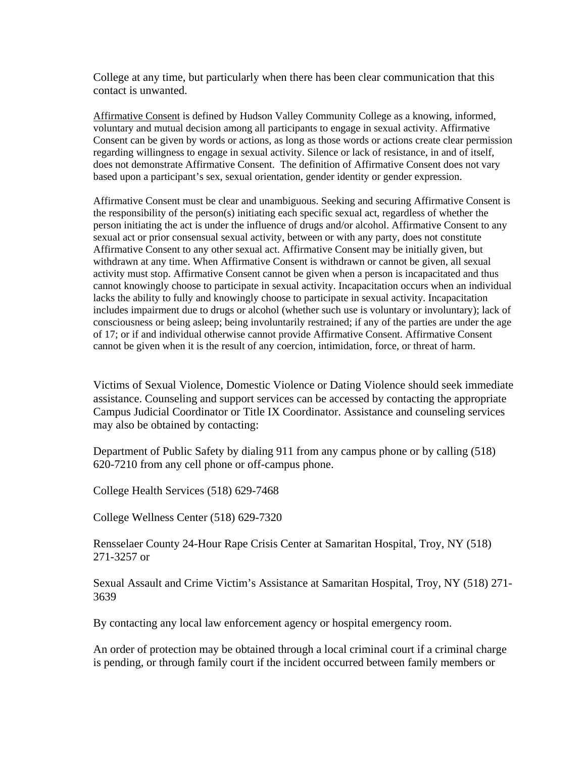College at any time, but particularly when there has been clear communication that this contact is unwanted.

Affirmative Consent is defined by Hudson Valley Community College as a knowing, informed, voluntary and mutual decision among all participants to engage in sexual activity. Affirmative Consent can be given by words or actions, as long as those words or actions create clear permission regarding willingness to engage in sexual activity. Silence or lack of resistance, in and of itself, does not demonstrate Affirmative Consent. The definition of Affirmative Consent does not vary based upon a participant's sex, sexual orientation, gender identity or gender expression.

Affirmative Consent must be clear and unambiguous. Seeking and securing Affirmative Consent is the responsibility of the person(s) initiating each specific sexual act, regardless of whether the person initiating the act is under the influence of drugs and/or alcohol. Affirmative Consent to any sexual act or prior consensual sexual activity, between or with any party, does not constitute Affirmative Consent to any other sexual act. Affirmative Consent may be initially given, but withdrawn at any time. When Affirmative Consent is withdrawn or cannot be given, all sexual activity must stop. Affirmative Consent cannot be given when a person is incapacitated and thus cannot knowingly choose to participate in sexual activity. Incapacitation occurs when an individual lacks the ability to fully and knowingly choose to participate in sexual activity. Incapacitation includes impairment due to drugs or alcohol (whether such use is voluntary or involuntary); lack of consciousness or being asleep; being involuntarily restrained; if any of the parties are under the age of 17; or if and individual otherwise cannot provide Affirmative Consent. Affirmative Consent cannot be given when it is the result of any coercion, intimidation, force, or threat of harm.

Victims of Sexual Violence, Domestic Violence or Dating Violence should seek immediate assistance. Counseling and support services can be accessed by contacting the appropriate Campus Judicial Coordinator or Title IX Coordinator. Assistance and counseling services may also be obtained by contacting:

Department of Public Safety by dialing 911 from any campus phone or by calling (518) 620-7210 from any cell phone or off-campus phone.

College Health Services (518) 629-7468

College Wellness Center (518) 629-7320

Rensselaer County 24-Hour Rape Crisis Center at Samaritan Hospital, Troy, NY (518) 271-3257 or

Sexual Assault and Crime Victim's Assistance at Samaritan Hospital, Troy, NY (518) 271- 3639

By contacting any local law enforcement agency or hospital emergency room.

An order of protection may be obtained through a local criminal court if a criminal charge is pending, or through family court if the incident occurred between family members or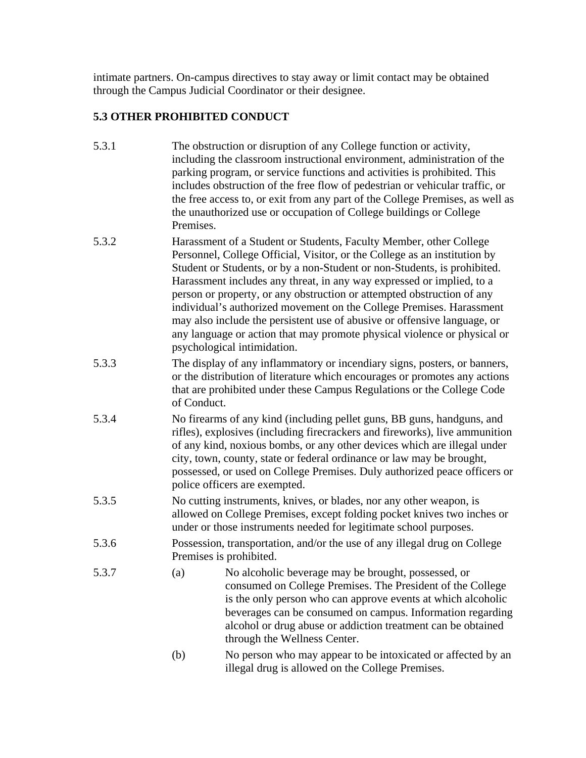intimate partners. On-campus directives to stay away or limit contact may be obtained through the Campus Judicial Coordinator or their designee.

## **5.3 OTHER PROHIBITED CONDUCT**

- 5.3.1 The obstruction or disruption of any College function or activity, including the classroom instructional environment, administration of the parking program, or service functions and activities is prohibited. This includes obstruction of the free flow of pedestrian or vehicular traffic, or the free access to, or exit from any part of the College Premises, as well as the unauthorized use or occupation of College buildings or College Premises.
- 5.3.2 Harassment of a Student or Students, Faculty Member, other College Personnel, College Official, Visitor, or the College as an institution by Student or Students, or by a non-Student or non-Students, is prohibited. Harassment includes any threat, in any way expressed or implied, to a person or property, or any obstruction or attempted obstruction of any individual's authorized movement on the College Premises. Harassment may also include the persistent use of abusive or offensive language, or any language or action that may promote physical violence or physical or psychological intimidation.
- 5.3.3 The display of any inflammatory or incendiary signs, posters, or banners, or the distribution of literature which encourages or promotes any actions that are prohibited under these Campus Regulations or the College Code of Conduct.
- 5.3.4 No firearms of any kind (including pellet guns, BB guns, handguns, and rifles), explosives (including firecrackers and fireworks), live ammunition of any kind, noxious bombs, or any other devices which are illegal under city, town, county, state or federal ordinance or law may be brought, possessed, or used on College Premises. Duly authorized peace officers or police officers are exempted.
- 5.3.5 No cutting instruments, knives, or blades, nor any other weapon, is allowed on College Premises, except folding pocket knives two inches or under or those instruments needed for legitimate school purposes.
- 5.3.6 Possession, transportation, and/or the use of any illegal drug on College Premises is prohibited.
- 5.3.7 (a) No alcoholic beverage may be brought, possessed, or consumed on College Premises. The President of the College is the only person who can approve events at which alcoholic beverages can be consumed on campus. Information regarding alcohol or drug abuse or addiction treatment can be obtained through the Wellness Center.
	- (b) No person who may appear to be intoxicated or affected by an illegal drug is allowed on the College Premises.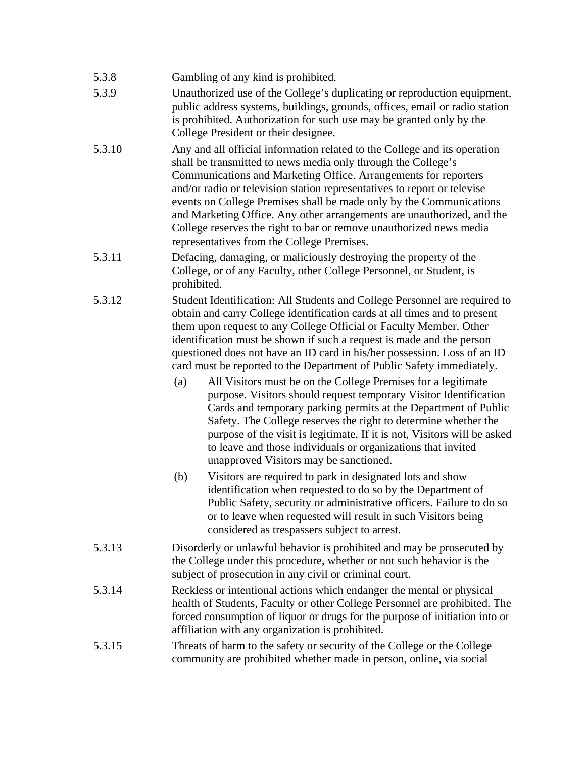- 5.3.8 Gambling of any kind is prohibited.
- 5.3.9 Unauthorized use of the College's duplicating or reproduction equipment, public address systems, buildings, grounds, offices, email or radio station is prohibited. Authorization for such use may be granted only by the College President or their designee.
- 5.3.10 Any and all official information related to the College and its operation shall be transmitted to news media only through the College's Communications and Marketing Office. Arrangements for reporters and/or radio or television station representatives to report or televise events on College Premises shall be made only by the Communications and Marketing Office. Any other arrangements are unauthorized, and the College reserves the right to bar or remove unauthorized news media representatives from the College Premises.
- 5.3.11 Defacing, damaging, or maliciously destroying the property of the College, or of any Faculty, other College Personnel, or Student, is prohibited.
- 5.3.12 Student Identification: All Students and College Personnel are required to obtain and carry College identification cards at all times and to present them upon request to any College Official or Faculty Member. Other identification must be shown if such a request is made and the person questioned does not have an ID card in his/her possession. Loss of an ID card must be reported to the Department of Public Safety immediately.
	- (a) All Visitors must be on the College Premises for a legitimate purpose. Visitors should request temporary Visitor Identification Cards and temporary parking permits at the Department of Public Safety. The College reserves the right to determine whether the purpose of the visit is legitimate. If it is not, Visitors will be asked to leave and those individuals or organizations that invited unapproved Visitors may be sanctioned.
	- (b) Visitors are required to park in designated lots and show identification when requested to do so by the Department of Public Safety, security or administrative officers. Failure to do so or to leave when requested will result in such Visitors being considered as trespassers subject to arrest.
- 5.3.13 Disorderly or unlawful behavior is prohibited and may be prosecuted by the College under this procedure, whether or not such behavior is the subject of prosecution in any civil or criminal court.
- 5.3.14 Reckless or intentional actions which endanger the mental or physical health of Students, Faculty or other College Personnel are prohibited. The forced consumption of liquor or drugs for the purpose of initiation into or affiliation with any organization is prohibited.
- 5.3.15 Threats of harm to the safety or security of the College or the College community are prohibited whether made in person, online, via social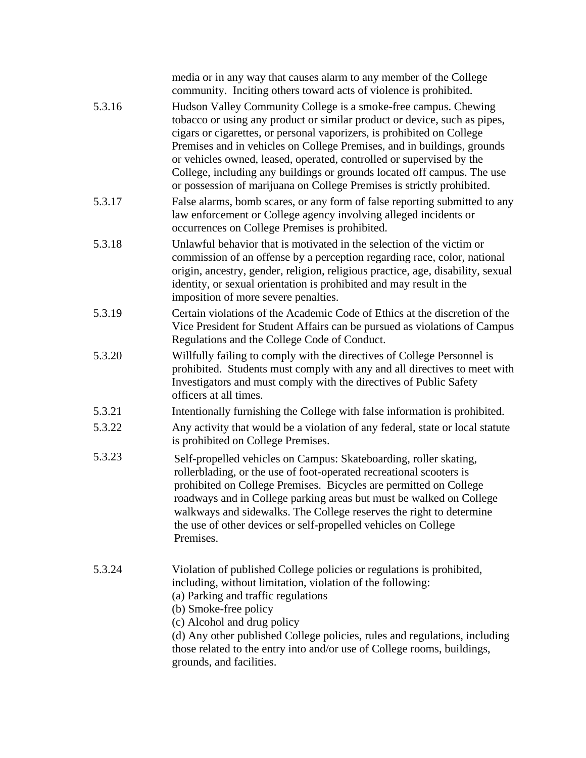|        | media or in any way that causes alarm to any member of the College<br>community. Inciting others toward acts of violence is prohibited.                                                                                                                                                                                                                                                                                                                                                                                        |
|--------|--------------------------------------------------------------------------------------------------------------------------------------------------------------------------------------------------------------------------------------------------------------------------------------------------------------------------------------------------------------------------------------------------------------------------------------------------------------------------------------------------------------------------------|
| 5.3.16 | Hudson Valley Community College is a smoke-free campus. Chewing<br>tobacco or using any product or similar product or device, such as pipes,<br>cigars or cigarettes, or personal vaporizers, is prohibited on College<br>Premises and in vehicles on College Premises, and in buildings, grounds<br>or vehicles owned, leased, operated, controlled or supervised by the<br>College, including any buildings or grounds located off campus. The use<br>or possession of marijuana on College Premises is strictly prohibited. |
| 5.3.17 | False alarms, bomb scares, or any form of false reporting submitted to any<br>law enforcement or College agency involving alleged incidents or<br>occurrences on College Premises is prohibited.                                                                                                                                                                                                                                                                                                                               |
| 5.3.18 | Unlawful behavior that is motivated in the selection of the victim or<br>commission of an offense by a perception regarding race, color, national<br>origin, ancestry, gender, religion, religious practice, age, disability, sexual<br>identity, or sexual orientation is prohibited and may result in the<br>imposition of more severe penalties.                                                                                                                                                                            |
| 5.3.19 | Certain violations of the Academic Code of Ethics at the discretion of the<br>Vice President for Student Affairs can be pursued as violations of Campus<br>Regulations and the College Code of Conduct.                                                                                                                                                                                                                                                                                                                        |
| 5.3.20 | Willfully failing to comply with the directives of College Personnel is<br>prohibited. Students must comply with any and all directives to meet with<br>Investigators and must comply with the directives of Public Safety<br>officers at all times.                                                                                                                                                                                                                                                                           |
| 5.3.21 | Intentionally furnishing the College with false information is prohibited.                                                                                                                                                                                                                                                                                                                                                                                                                                                     |
| 5.3.22 | Any activity that would be a violation of any federal, state or local statute<br>is prohibited on College Premises.                                                                                                                                                                                                                                                                                                                                                                                                            |
| 5.3.23 | Self-propelled vehicles on Campus: Skateboarding, roller skating,<br>rollerblading, or the use of foot-operated recreational scooters is<br>prohibited on College Premises. Bicycles are permitted on College<br>roadways and in College parking areas but must be walked on College<br>walkways and sidewalks. The College reserves the right to determine<br>the use of other devices or self-propelled vehicles on College<br>Premises.                                                                                     |
| 5.3.24 | Violation of published College policies or regulations is prohibited,<br>including, without limitation, violation of the following:<br>(a) Parking and traffic regulations<br>(b) Smoke-free policy<br>(c) Alcohol and drug policy<br>(d) Any other published College policies, rules and regulations, including<br>those related to the entry into and/or use of College rooms, buildings,<br>grounds, and facilities.                                                                                                        |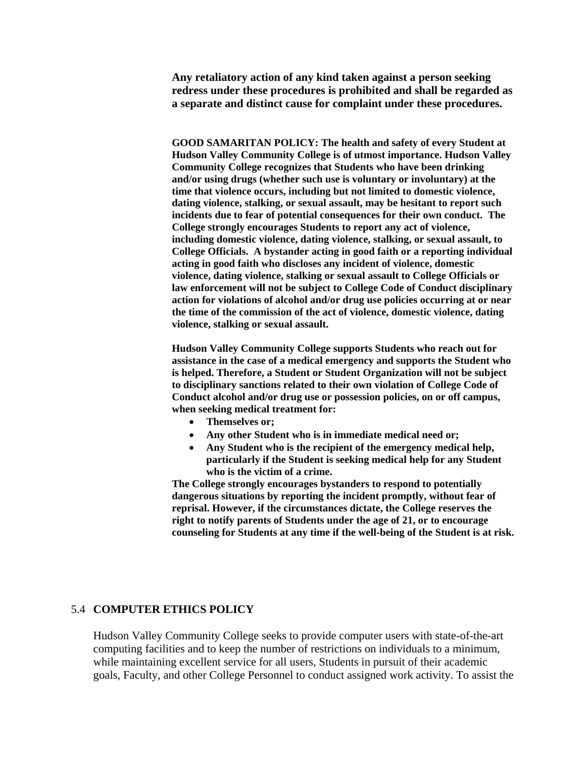**Any retaliatory action of any kind taken against a person seeking redress under these procedures is prohibited and shall be regarded as a separate and distinct cause for complaint under these procedures.**

**GOOD SAMARITAN POLICY: The health and safety of every Student at Hudson Valley Community College is of utmost importance. Hudson Valley Community College recognizes that Students who have been drinking and/or using drugs (whether such use is voluntary or involuntary) at the time that violence occurs, including but not limited to domestic violence, dating violence, stalking, or sexual assault, may be hesitant to report such incidents due to fear of potential consequences for their own conduct. The College strongly encourages Students to report any act of violence, including domestic violence, dating violence, stalking, or sexual assault, to College Officials. A bystander acting in good faith or a reporting individual acting in good faith who discloses any incident of violence, domestic violence, dating violence, stalking or sexual assault to College Officials or law enforcement will not be subject to College Code of Conduct disciplinary action for violations of alcohol and/or drug use policies occurring at or near the time of the commission of the act of violence, domestic violence, dating violence, stalking or sexual assault.**

**Hudson Valley Community College supports Students who reach out for assistance in the case of a medical emergency and supports the Student who is helped. Therefore, a Student or Student Organization will not be subject to disciplinary sanctions related to their own violation of College Code of Conduct alcohol and/or drug use or possession policies, on or off campus, when seeking medical treatment for:**

- **Themselves or;**
- **Any other Student who is in immediate medical need or;**
- **Any Student who is the recipient of the emergency medical help, particularly if the Student is seeking medical help for any Student who is the victim of a crime.**

**The College strongly encourages bystanders to respond to potentially dangerous situations by reporting the incident promptly, without fear of reprisal. However, if the circumstances dictate, the College reserves the right to notify parents of Students under the age of 21, or to encourage counseling for Students at any time if the well-being of the Student is at risk.**

#### 5.4 **COMPUTER ETHICS POLICY**

Hudson Valley Community College seeks to provide computer users with state-of-the-art computing facilities and to keep the number of restrictions on individuals to a minimum, while maintaining excellent service for all users, Students in pursuit of their academic goals, Faculty, and other College Personnel to conduct assigned work activity. To assist the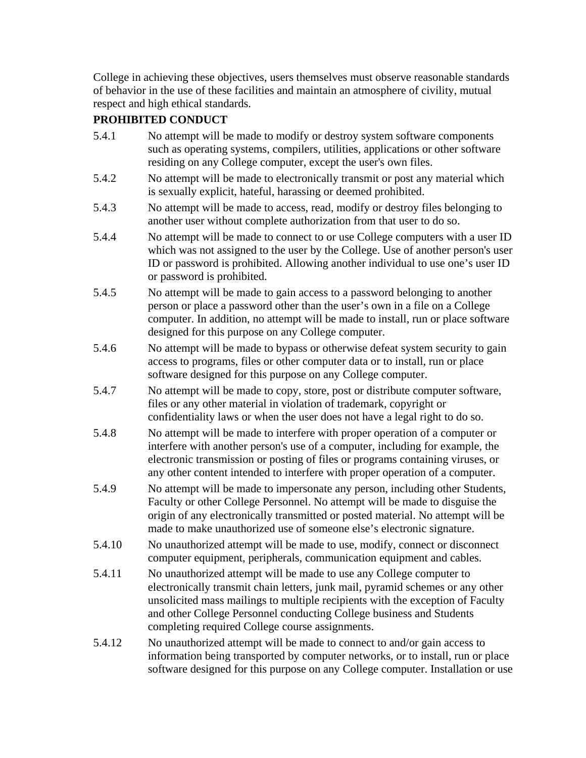College in achieving these objectives, users themselves must observe reasonable standards of behavior in the use of these facilities and maintain an atmosphere of civility, mutual respect and high ethical standards.

# **PROHIBITED CONDUCT**

- 5.4.1 No attempt will be made to modify or destroy system software components such as operating systems, compilers, utilities, applications or other software residing on any College computer, except the user's own files. 5.4.2 No attempt will be made to electronically transmit or post any material which is sexually explicit, hateful, harassing or deemed prohibited. 5.4.3 No attempt will be made to access, read, modify or destroy files belonging to another user without complete authorization from that user to do so. 5.4.4 No attempt will be made to connect to or use College computers with a user ID which was not assigned to the user by the College. Use of another person's user ID or password is prohibited. Allowing another individual to use one's user ID or password is prohibited. 5.4.5 No attempt will be made to gain access to a password belonging to another person or place a password other than the user's own in a file on a College computer. In addition, no attempt will be made to install, run or place software designed for this purpose on any College computer. 5.4.6 No attempt will be made to bypass or otherwise defeat system security to gain access to programs, files or other computer data or to install, run or place software designed for this purpose on any College computer. 5.4.7 No attempt will be made to copy, store, post or distribute computer software, files or any other material in violation of trademark, copyright or confidentiality laws or when the user does not have a legal right to do so. 5.4.8 No attempt will be made to interfere with proper operation of a computer or interfere with another person's use of a computer, including for example, the electronic transmission or posting of files or programs containing viruses, or any other content intended to interfere with proper operation of a computer. 5.4.9 No attempt will be made to impersonate any person, including other Students, Faculty or other College Personnel. No attempt will be made to disguise the origin of any electronically transmitted or posted material. No attempt will be made to make unauthorized use of someone else's electronic signature. 5.4.10 No unauthorized attempt will be made to use, modify, connect or disconnect computer equipment, peripherals, communication equipment and cables. 5.4.11 No unauthorized attempt will be made to use any College computer to electronically transmit chain letters, junk mail, pyramid schemes or any other unsolicited mass mailings to multiple recipients with the exception of Faculty and other College Personnel conducting College business and Students
- 5.4.12 No unauthorized attempt will be made to connect to and/or gain access to information being transported by computer networks, or to install, run or place software designed for this purpose on any College computer. Installation or use

completing required College course assignments.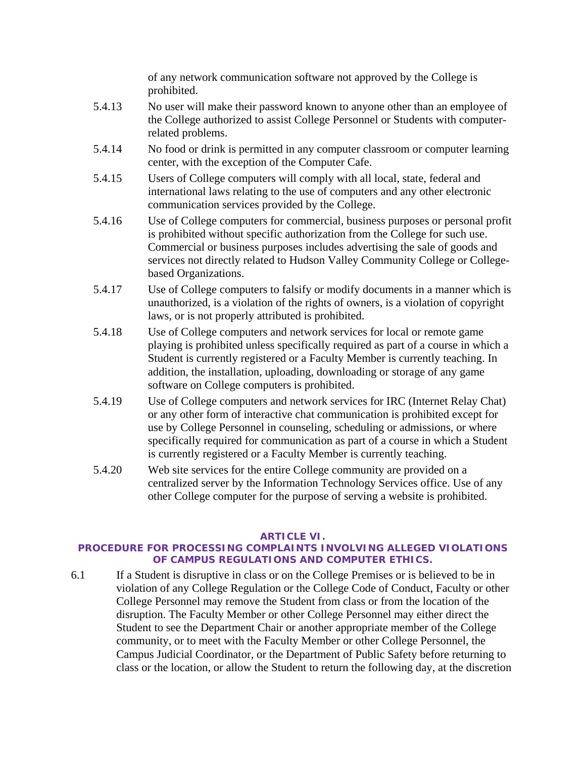of any network communication software not approved by the College is prohibited.

- 5.4.13 No user will make their password known to anyone other than an employee of the College authorized to assist College Personnel or Students with computerrelated problems.
- 5.4.14 No food or drink is permitted in any computer classroom or computer learning center, with the exception of the Computer Cafe.
- 5.4.15 Users of College computers will comply with all local, state, federal and international laws relating to the use of computers and any other electronic communication services provided by the College.
- 5.4.16 Use of College computers for commercial, business purposes or personal profit is prohibited without specific authorization from the College for such use. Commercial or business purposes includes advertising the sale of goods and services not directly related to Hudson Valley Community College or Collegebased Organizations.
- 5.4.17 Use of College computers to falsify or modify documents in a manner which is unauthorized, is a violation of the rights of owners, is a violation of copyright laws, or is not properly attributed is prohibited.
- 5.4.18 Use of College computers and network services for local or remote game playing is prohibited unless specifically required as part of a course in which a Student is currently registered or a Faculty Member is currently teaching. In addition, the installation, uploading, downloading or storage of any game software on College computers is prohibited.
- 5.4.19 Use of College computers and network services for IRC (Internet Relay Chat) or any other form of interactive chat communication is prohibited except for use by College Personnel in counseling, scheduling or admissions, or where specifically required for communication as part of a course in which a Student is currently registered or a Faculty Member is currently teaching.
- 5.4.20 Web site services for the entire College community are provided on a centralized server by the Information Technology Services office. Use of any other College computer for the purpose of serving a website is prohibited.

## **ARTICLE VI.**

## **PROCEDURE FOR PROCESSING COMPLAINTS INVOLVING ALLEGED VIOLATIONS OF CAMPUS REGULATIONS AND COMPUTER ETHICS.**

6.1 If a Student is disruptive in class or on the College Premises or is believed to be in violation of any College Regulation or the College Code of Conduct, Faculty or other College Personnel may remove the Student from class or from the location of the disruption. The Faculty Member or other College Personnel may either direct the Student to see the Department Chair or another appropriate member of the College community, or to meet with the Faculty Member or other College Personnel, the Campus Judicial Coordinator, or the Department of Public Safety before returning to class or the location, or allow the Student to return the following day, at the discretion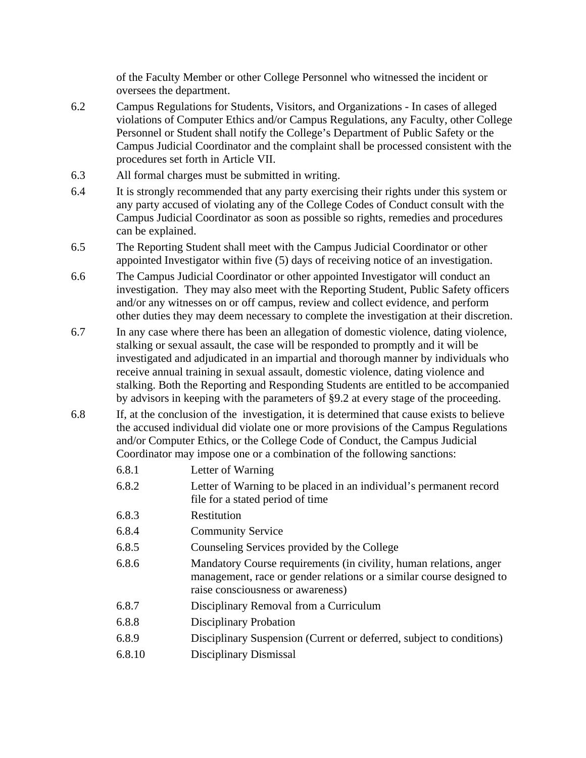of the Faculty Member or other College Personnel who witnessed the incident or oversees the department.

- 6.2 Campus Regulations for Students, Visitors, and Organizations In cases of alleged violations of Computer Ethics and/or Campus Regulations, any Faculty, other College Personnel or Student shall notify the College's Department of Public Safety or the Campus Judicial Coordinator and the complaint shall be processed consistent with the procedures set forth in Article VII.
- 6.3 All formal charges must be submitted in writing.
- 6.4 It is strongly recommended that any party exercising their rights under this system or any party accused of violating any of the College Codes of Conduct consult with the Campus Judicial Coordinator as soon as possible so rights, remedies and procedures can be explained.
- 6.5 The Reporting Student shall meet with the Campus Judicial Coordinator or other appointed Investigator within five (5) days of receiving notice of an investigation.
- 6.6 The Campus Judicial Coordinator or other appointed Investigator will conduct an investigation. They may also meet with the Reporting Student, Public Safety officers and/or any witnesses on or off campus, review and collect evidence, and perform other duties they may deem necessary to complete the investigation at their discretion.
- 6.7 In any case where there has been an allegation of domestic violence, dating violence, stalking or sexual assault, the case will be responded to promptly and it will be investigated and adjudicated in an impartial and thorough manner by individuals who receive annual training in sexual assault, domestic violence, dating violence and stalking. Both the Reporting and Responding Students are entitled to be accompanied by advisors in keeping with the parameters of §9.2 at every stage of the proceeding.
- 6.8 If, at the conclusion of the investigation, it is determined that cause exists to believe the accused individual did violate one or more provisions of the Campus Regulations and/or Computer Ethics, or the College Code of Conduct, the Campus Judicial Coordinator may impose one or a combination of the following sanctions:

| 6.8.1  | Letter of Warning                                                                                                                                                               |
|--------|---------------------------------------------------------------------------------------------------------------------------------------------------------------------------------|
| 6.8.2  | Letter of Warning to be placed in an individual's permanent record<br>file for a stated period of time                                                                          |
| 6.8.3  | Restitution                                                                                                                                                                     |
| 6.8.4  | <b>Community Service</b>                                                                                                                                                        |
| 6.8.5  | Counseling Services provided by the College                                                                                                                                     |
| 6.8.6  | Mandatory Course requirements (in civility, human relations, anger<br>management, race or gender relations or a similar course designed to<br>raise consciousness or awareness) |
| 6.8.7  | Disciplinary Removal from a Curriculum                                                                                                                                          |
| 6.8.8  | <b>Disciplinary Probation</b>                                                                                                                                                   |
| 6.8.9  | Disciplinary Suspension (Current or deferred, subject to conditions)                                                                                                            |
| 6.8.10 | Disciplinary Dismissal                                                                                                                                                          |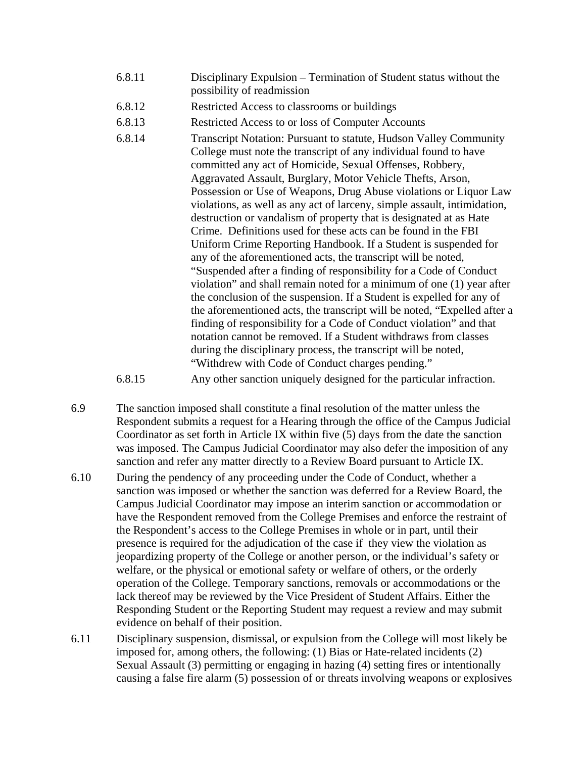- 6.8.11 Disciplinary Expulsion Termination of Student status without the possibility of readmission
- 6.8.12 Restricted Access to classrooms or buildings
- 6.8.13 Restricted Access to or loss of Computer Accounts
- 6.8.14 Transcript Notation: Pursuant to statute, Hudson Valley Community College must note the transcript of any individual found to have committed any act of Homicide, Sexual Offenses, Robbery, Aggravated Assault, Burglary, Motor Vehicle Thefts, Arson, Possession or Use of Weapons, Drug Abuse violations or Liquor Law violations, as well as any act of larceny, simple assault, intimidation, destruction or vandalism of property that is designated at as Hate Crime. Definitions used for these acts can be found in the FBI Uniform Crime Reporting Handbook. If a Student is suspended for any of the aforementioned acts, the transcript will be noted, "Suspended after a finding of responsibility for a Code of Conduct violation" and shall remain noted for a minimum of one (1) year after the conclusion of the suspension. If a Student is expelled for any of the aforementioned acts, the transcript will be noted, "Expelled after a finding of responsibility for a Code of Conduct violation" and that notation cannot be removed. If a Student withdraws from classes during the disciplinary process, the transcript will be noted, "Withdrew with Code of Conduct charges pending."
- 6.8.15 Any other sanction uniquely designed for the particular infraction.
- 6.9 The sanction imposed shall constitute a final resolution of the matter unless the Respondent submits a request for a Hearing through the office of the Campus Judicial Coordinator as set forth in Article IX within five (5) days from the date the sanction was imposed. The Campus Judicial Coordinator may also defer the imposition of any sanction and refer any matter directly to a Review Board pursuant to Article IX.
- 6.10 During the pendency of any proceeding under the Code of Conduct, whether a sanction was imposed or whether the sanction was deferred for a Review Board, the Campus Judicial Coordinator may impose an interim sanction or accommodation or have the Respondent removed from the College Premises and enforce the restraint of the Respondent's access to the College Premises in whole or in part, until their presence is required for the adjudication of the case if they view the violation as jeopardizing property of the College or another person, or the individual's safety or welfare, or the physical or emotional safety or welfare of others, or the orderly operation of the College. Temporary sanctions, removals or accommodations or the lack thereof may be reviewed by the Vice President of Student Affairs. Either the Responding Student or the Reporting Student may request a review and may submit evidence on behalf of their position.
- 6.11 Disciplinary suspension, dismissal, or expulsion from the College will most likely be imposed for, among others, the following: (1) Bias or Hate-related incidents (2) Sexual Assault (3) permitting or engaging in hazing (4) setting fires or intentionally causing a false fire alarm (5) possession of or threats involving weapons or explosives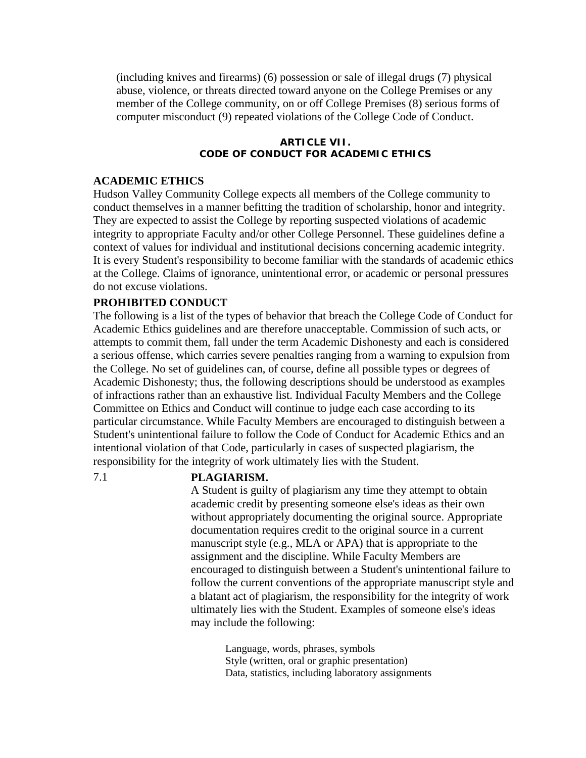(including knives and firearms) (6) possession or sale of illegal drugs (7) physical abuse, violence, or threats directed toward anyone on the College Premises or any member of the College community, on or off College Premises (8) serious forms of computer misconduct (9) repeated violations of the College Code of Conduct.

#### **ARTICLE VII. CODE OF CONDUCT FOR ACADEMIC ETHICS**

#### **ACADEMIC ETHICS**

Hudson Valley Community College expects all members of the College community to conduct themselves in a manner befitting the tradition of scholarship, honor and integrity. They are expected to assist the College by reporting suspected violations of academic integrity to appropriate Faculty and/or other College Personnel. These guidelines define a context of values for individual and institutional decisions concerning academic integrity. It is every Student's responsibility to become familiar with the standards of academic ethics at the College. Claims of ignorance, unintentional error, or academic or personal pressures do not excuse violations.

#### **PROHIBITED CONDUCT**

The following is a list of the types of behavior that breach the College Code of Conduct for Academic Ethics guidelines and are therefore unacceptable. Commission of such acts, or attempts to commit them, fall under the term Academic Dishonesty and each is considered a serious offense, which carries severe penalties ranging from a warning to expulsion from the College. No set of guidelines can, of course, define all possible types or degrees of Academic Dishonesty; thus, the following descriptions should be understood as examples of infractions rather than an exhaustive list. Individual Faculty Members and the College Committee on Ethics and Conduct will continue to judge each case according to its particular circumstance. While Faculty Members are encouraged to distinguish between a Student's unintentional failure to follow the Code of Conduct for Academic Ethics and an intentional violation of that Code, particularly in cases of suspected plagiarism, the responsibility for the integrity of work ultimately lies with the Student.

#### 7.1 **PLAGIARISM.**

A Student is guilty of plagiarism any time they attempt to obtain academic credit by presenting someone else's ideas as their own without appropriately documenting the original source. Appropriate documentation requires credit to the original source in a current manuscript style (e.g., MLA or APA) that is appropriate to the assignment and the discipline. While Faculty Members are encouraged to distinguish between a Student's unintentional failure to follow the current conventions of the appropriate manuscript style and a blatant act of plagiarism, the responsibility for the integrity of work ultimately lies with the Student. Examples of someone else's ideas may include the following:

> Language, words, phrases, symbols Style (written, oral or graphic presentation) Data, statistics, including laboratory assignments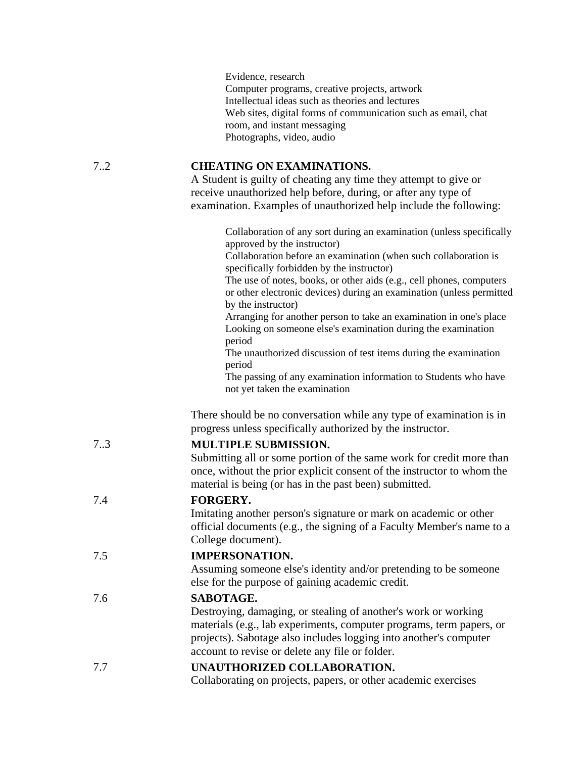Evidence, research Computer programs, creative projects, artwork Intellectual ideas such as theories and lectures Web sites, digital forms of communication such as email, chat room, and instant messaging Photographs, video, audio

## 7..2 **CHEATING ON EXAMINATIONS.**

A Student is guilty of cheating any time they attempt to give or receive unauthorized help before, during, or after any type of examination. Examples of unauthorized help include the following:

|     | Collaboration of any sort during an examination (unless specifically<br>approved by the instructor)<br>Collaboration before an examination (when such collaboration is<br>specifically forbidden by the instructor)<br>The use of notes, books, or other aids (e.g., cell phones, computers<br>or other electronic devices) during an examination (unless permitted<br>by the instructor)<br>Arranging for another person to take an examination in one's place<br>Looking on someone else's examination during the examination<br>period<br>The unauthorized discussion of test items during the examination<br>period<br>The passing of any examination information to Students who have<br>not yet taken the examination |
|-----|-----------------------------------------------------------------------------------------------------------------------------------------------------------------------------------------------------------------------------------------------------------------------------------------------------------------------------------------------------------------------------------------------------------------------------------------------------------------------------------------------------------------------------------------------------------------------------------------------------------------------------------------------------------------------------------------------------------------------------|
|     | There should be no conversation while any type of examination is in<br>progress unless specifically authorized by the instructor.                                                                                                                                                                                                                                                                                                                                                                                                                                                                                                                                                                                           |
| 73  | <b>MULTIPLE SUBMISSION.</b><br>Submitting all or some portion of the same work for credit more than<br>once, without the prior explicit consent of the instructor to whom the<br>material is being (or has in the past been) submitted.                                                                                                                                                                                                                                                                                                                                                                                                                                                                                     |
| 7.4 | <b>FORGERY.</b><br>Imitating another person's signature or mark on academic or other<br>official documents (e.g., the signing of a Faculty Member's name to a<br>College document).                                                                                                                                                                                                                                                                                                                                                                                                                                                                                                                                         |
| 7.5 | <b>IMPERSONATION.</b><br>Assuming someone else's identity and/or pretending to be someone<br>else for the purpose of gaining academic credit.                                                                                                                                                                                                                                                                                                                                                                                                                                                                                                                                                                               |
| 7.6 | SABOTAGE.<br>Destroying, damaging, or stealing of another's work or working<br>materials (e.g., lab experiments, computer programs, term papers, or<br>projects). Sabotage also includes logging into another's computer<br>account to revise or delete any file or folder.                                                                                                                                                                                                                                                                                                                                                                                                                                                 |
| 7.7 | UNAUTHORIZED COLLABORATION.<br>Collaborating on projects, papers, or other academic exercises                                                                                                                                                                                                                                                                                                                                                                                                                                                                                                                                                                                                                               |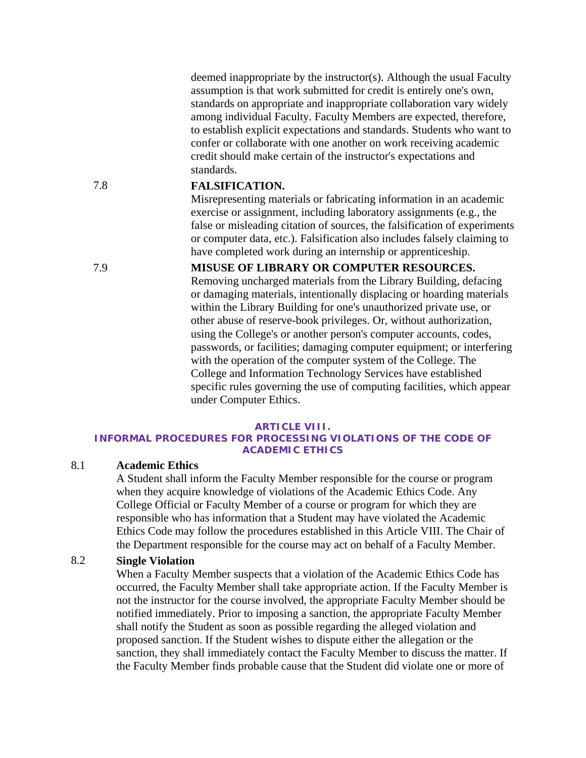deemed inappropriate by the instructor(s). Although the usual Faculty assumption is that work submitted for credit is entirely one's own, standards on appropriate and inappropriate collaboration vary widely among individual Faculty. Faculty Members are expected, therefore, to establish explicit expectations and standards. Students who want to confer or collaborate with one another on work receiving academic credit should make certain of the instructor's expectations and standards.

## 7.8 **FALSIFICATION.**

Misrepresenting materials or fabricating information in an academic exercise or assignment, including laboratory assignments (e.g., the false or misleading citation of sources, the falsification of experiments or computer data, etc.). Falsification also includes falsely claiming to have completed work during an internship or apprenticeship.

#### 7.9 **MISUSE OF LIBRARY OR COMPUTER RESOURCES.**

Removing uncharged materials from the Library Building, defacing or damaging materials, intentionally displacing or hoarding materials within the Library Building for one's unauthorized private use, or other abuse of reserve-book privileges. Or, without authorization, using the College's or another person's computer accounts, codes, passwords, or facilities; damaging computer equipment; or interfering with the operation of the computer system of the College. The College and Information Technology Services have established specific rules governing the use of computing facilities, which appear under Computer Ethics.

#### **ARTICLE VIII.**

#### **INFORMAL PROCEDURES FOR PROCESSING VIOLATIONS OF THE CODE OF ACADEMIC ETHICS**

#### 8.1 **Academic Ethics**

A Student shall inform the Faculty Member responsible for the course or program when they acquire knowledge of violations of the Academic Ethics Code. Any College Official or Faculty Member of a course or program for which they are responsible who has information that a Student may have violated the Academic Ethics Code may follow the procedures established in this Article VIII. The Chair of the Department responsible for the course may act on behalf of a Faculty Member.

## 8.2 **Single Violation**

When a Faculty Member suspects that a violation of the Academic Ethics Code has occurred, the Faculty Member shall take appropriate action. If the Faculty Member is not the instructor for the course involved, the appropriate Faculty Member should be notified immediately. Prior to imposing a sanction, the appropriate Faculty Member shall notify the Student as soon as possible regarding the alleged violation and proposed sanction. If the Student wishes to dispute either the allegation or the sanction, they shall immediately contact the Faculty Member to discuss the matter. If the Faculty Member finds probable cause that the Student did violate one or more of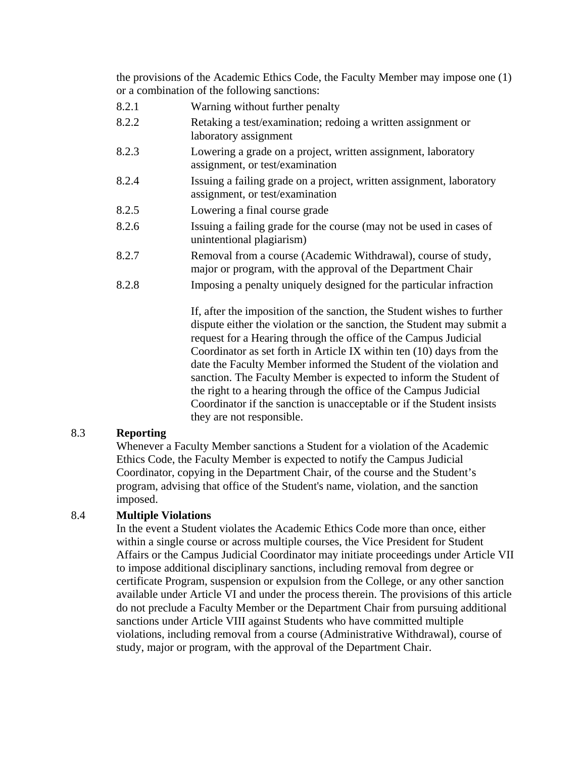the provisions of the Academic Ethics Code, the Faculty Member may impose one (1) or a combination of the following sanctions:

- 8.2.1 Warning without further penalty
- 8.2.2 Retaking a test/examination; redoing a written assignment or laboratory assignment
- 8.2.3 Lowering a grade on a project, written assignment, laboratory assignment, or test/examination
- 8.2.4 Issuing a failing grade on a project, written assignment, laboratory assignment, or test/examination
- 8.2.5 Lowering a final course grade
- 8.2.6 Issuing a failing grade for the course (may not be used in cases of unintentional plagiarism)
- 8.2.7 Removal from a course (Academic Withdrawal), course of study, major or program, with the approval of the Department Chair
- 8.2.8 Imposing a penalty uniquely designed for the particular infraction

If, after the imposition of the sanction, the Student wishes to further dispute either the violation or the sanction, the Student may submit a request for a Hearing through the office of the Campus Judicial Coordinator as set forth in Article IX within ten (10) days from the date the Faculty Member informed the Student of the violation and sanction. The Faculty Member is expected to inform the Student of the right to a hearing through the office of the Campus Judicial Coordinator if the sanction is unacceptable or if the Student insists they are not responsible.

## 8.3 **Reporting**

Whenever a Faculty Member sanctions a Student for a violation of the Academic Ethics Code, the Faculty Member is expected to notify the Campus Judicial Coordinator, copying in the Department Chair, of the course and the Student's program, advising that office of the Student's name, violation, and the sanction imposed.

## 8.4 **Multiple Violations**

In the event a Student violates the Academic Ethics Code more than once, either within a single course or across multiple courses, the Vice President for Student Affairs or the Campus Judicial Coordinator may initiate proceedings under Article VII to impose additional disciplinary sanctions, including removal from degree or certificate Program, suspension or expulsion from the College, or any other sanction available under Article VI and under the process therein. The provisions of this article do not preclude a Faculty Member or the Department Chair from pursuing additional sanctions under Article VIII against Students who have committed multiple violations, including removal from a course (Administrative Withdrawal), course of study, major or program, with the approval of the Department Chair.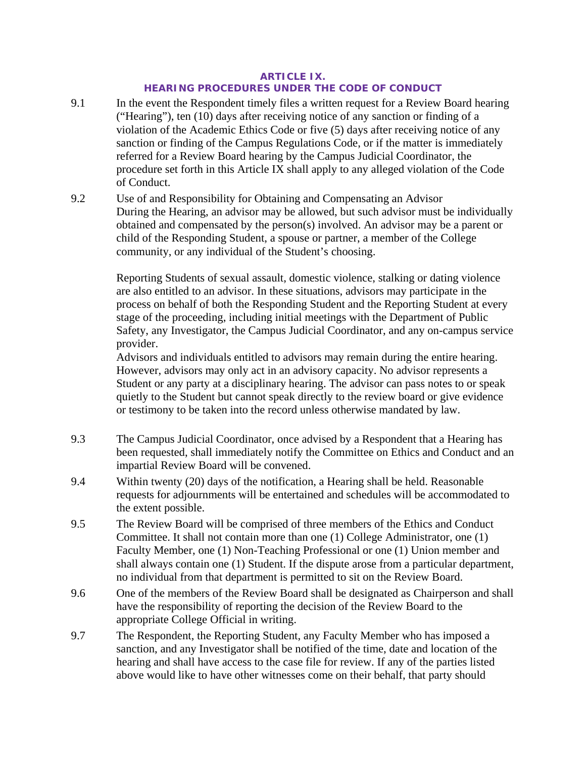#### **ARTICLE IX. HEARING PROCEDURES UNDER THE CODE OF CONDUCT**

- 9.1 In the event the Respondent timely files a written request for a Review Board hearing ("Hearing"), ten (10) days after receiving notice of any sanction or finding of a violation of the Academic Ethics Code or five (5) days after receiving notice of any sanction or finding of the Campus Regulations Code, or if the matter is immediately referred for a Review Board hearing by the Campus Judicial Coordinator, the procedure set forth in this Article IX shall apply to any alleged violation of the Code of Conduct.
- 9.2 Use of and Responsibility for Obtaining and Compensating an Advisor During the Hearing, an advisor may be allowed, but such advisor must be individually obtained and compensated by the person(s) involved. An advisor may be a parent or child of the Responding Student, a spouse or partner, a member of the College community, or any individual of the Student's choosing.

Reporting Students of sexual assault, domestic violence, stalking or dating violence are also entitled to an advisor. In these situations, advisors may participate in the process on behalf of both the Responding Student and the Reporting Student at every stage of the proceeding, including initial meetings with the Department of Public Safety, any Investigator, the Campus Judicial Coordinator, and any on-campus service provider.

Advisors and individuals entitled to advisors may remain during the entire hearing. However, advisors may only act in an advisory capacity. No advisor represents a Student or any party at a disciplinary hearing. The advisor can pass notes to or speak quietly to the Student but cannot speak directly to the review board or give evidence or testimony to be taken into the record unless otherwise mandated by law.

- 9.3 The Campus Judicial Coordinator, once advised by a Respondent that a Hearing has been requested, shall immediately notify the Committee on Ethics and Conduct and an impartial Review Board will be convened.
- 9.4 Within twenty (20) days of the notification, a Hearing shall be held. Reasonable requests for adjournments will be entertained and schedules will be accommodated to the extent possible.
- 9.5 The Review Board will be comprised of three members of the Ethics and Conduct Committee. It shall not contain more than one (1) College Administrator, one (1) Faculty Member, one (1) Non-Teaching Professional or one (1) Union member and shall always contain one (1) Student. If the dispute arose from a particular department, no individual from that department is permitted to sit on the Review Board.
- 9.6 One of the members of the Review Board shall be designated as Chairperson and shall have the responsibility of reporting the decision of the Review Board to the appropriate College Official in writing.
- 9.7 The Respondent, the Reporting Student, any Faculty Member who has imposed a sanction, and any Investigator shall be notified of the time, date and location of the hearing and shall have access to the case file for review. If any of the parties listed above would like to have other witnesses come on their behalf, that party should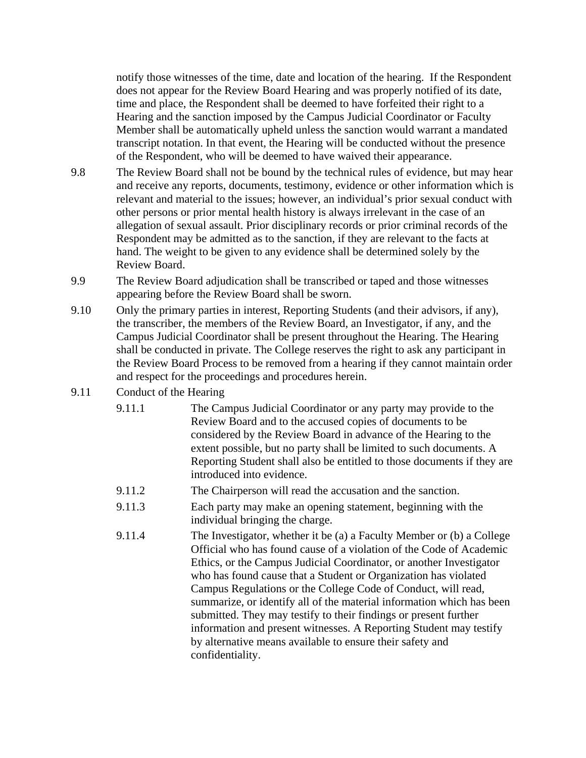notify those witnesses of the time, date and location of the hearing. If the Respondent does not appear for the Review Board Hearing and was properly notified of its date, time and place, the Respondent shall be deemed to have forfeited their right to a Hearing and the sanction imposed by the Campus Judicial Coordinator or Faculty Member shall be automatically upheld unless the sanction would warrant a mandated transcript notation. In that event, the Hearing will be conducted without the presence of the Respondent, who will be deemed to have waived their appearance.

- 9.8 The Review Board shall not be bound by the technical rules of evidence, but may hear and receive any reports, documents, testimony, evidence or other information which is relevant and material to the issues; however, an individual's prior sexual conduct with other persons or prior mental health history is always irrelevant in the case of an allegation of sexual assault. Prior disciplinary records or prior criminal records of the Respondent may be admitted as to the sanction, if they are relevant to the facts at hand. The weight to be given to any evidence shall be determined solely by the Review Board.
- 9.9 The Review Board adjudication shall be transcribed or taped and those witnesses appearing before the Review Board shall be sworn.
- 9.10 Only the primary parties in interest, Reporting Students (and their advisors, if any), the transcriber, the members of the Review Board, an Investigator, if any, and the Campus Judicial Coordinator shall be present throughout the Hearing. The Hearing shall be conducted in private. The College reserves the right to ask any participant in the Review Board Process to be removed from a hearing if they cannot maintain order and respect for the proceedings and procedures herein.
- 9.11 Conduct of the Hearing
	- 9.11.1 The Campus Judicial Coordinator or any party may provide to the Review Board and to the accused copies of documents to be considered by the Review Board in advance of the Hearing to the extent possible, but no party shall be limited to such documents. A Reporting Student shall also be entitled to those documents if they are introduced into evidence.
	- 9.11.2 The Chairperson will read the accusation and the sanction.
	- 9.11.3 Each party may make an opening statement, beginning with the individual bringing the charge.
	- 9.11.4 The Investigator, whether it be (a) a Faculty Member or (b) a College Official who has found cause of a violation of the Code of Academic Ethics, or the Campus Judicial Coordinator, or another Investigator who has found cause that a Student or Organization has violated Campus Regulations or the College Code of Conduct, will read, summarize, or identify all of the material information which has been submitted. They may testify to their findings or present further information and present witnesses. A Reporting Student may testify by alternative means available to ensure their safety and confidentiality.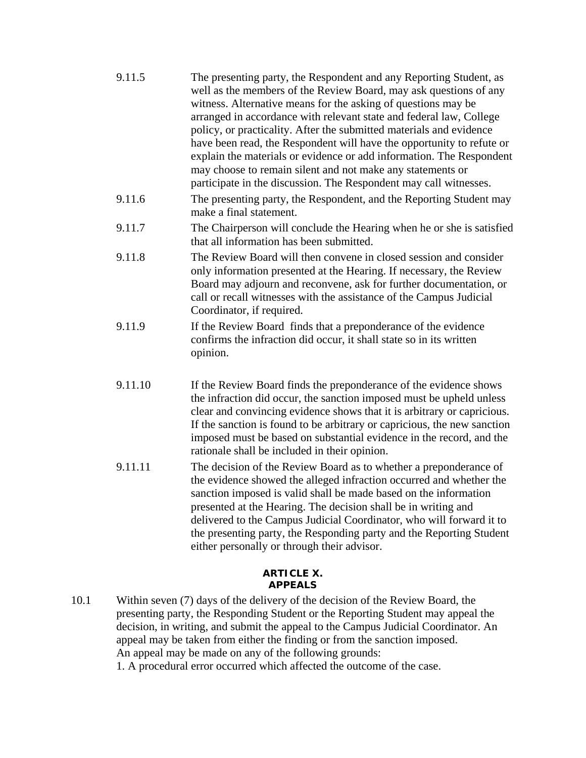| 9.11.5  | The presenting party, the Respondent and any Reporting Student, as<br>well as the members of the Review Board, may ask questions of any<br>witness. Alternative means for the asking of questions may be<br>arranged in accordance with relevant state and federal law, College<br>policy, or practicality. After the submitted materials and evidence<br>have been read, the Respondent will have the opportunity to refute or<br>explain the materials or evidence or add information. The Respondent<br>may choose to remain silent and not make any statements or<br>participate in the discussion. The Respondent may call witnesses. |
|---------|--------------------------------------------------------------------------------------------------------------------------------------------------------------------------------------------------------------------------------------------------------------------------------------------------------------------------------------------------------------------------------------------------------------------------------------------------------------------------------------------------------------------------------------------------------------------------------------------------------------------------------------------|
| 9.11.6  | The presenting party, the Respondent, and the Reporting Student may<br>make a final statement.                                                                                                                                                                                                                                                                                                                                                                                                                                                                                                                                             |
| 9.11.7  | The Chairperson will conclude the Hearing when he or she is satisfied<br>that all information has been submitted.                                                                                                                                                                                                                                                                                                                                                                                                                                                                                                                          |
| 9.11.8  | The Review Board will then convene in closed session and consider<br>only information presented at the Hearing. If necessary, the Review<br>Board may adjourn and reconvene, ask for further documentation, or<br>call or recall witnesses with the assistance of the Campus Judicial<br>Coordinator, if required.                                                                                                                                                                                                                                                                                                                         |
| 9.11.9  | If the Review Board finds that a preponderance of the evidence<br>confirms the infraction did occur, it shall state so in its written<br>opinion.                                                                                                                                                                                                                                                                                                                                                                                                                                                                                          |
| 9.11.10 | If the Review Board finds the preponderance of the evidence shows<br>the infraction did occur, the sanction imposed must be upheld unless<br>clear and convincing evidence shows that it is arbitrary or capricious.<br>If the sanction is found to be arbitrary or capricious, the new sanction<br>imposed must be based on substantial evidence in the record, and the<br>rationale shall be included in their opinion.                                                                                                                                                                                                                  |
| 9.11.11 | The decision of the Review Board as to whether a preponderance of<br>the evidence showed the alleged infraction occurred and whether the<br>and a continuous consists of the control of the control of the constitution of the following and a                                                                                                                                                                                                                                                                                                                                                                                             |

sanction imposed is valid shall be made based on the information presented at the Hearing. The decision shall be in writing and delivered to the Campus Judicial Coordinator, who will forward it to the presenting party, the Responding party and the Reporting Student either personally or through their advisor.

#### **ARTICLE X. APPEALS**

10.1 Within seven (7) days of the delivery of the decision of the Review Board, the presenting party, the Responding Student or the Reporting Student may appeal the decision, in writing, and submit the appeal to the Campus Judicial Coordinator. An appeal may be taken from either the finding or from the sanction imposed. An appeal may be made on any of the following grounds: 1. A procedural error occurred which affected the outcome of the case.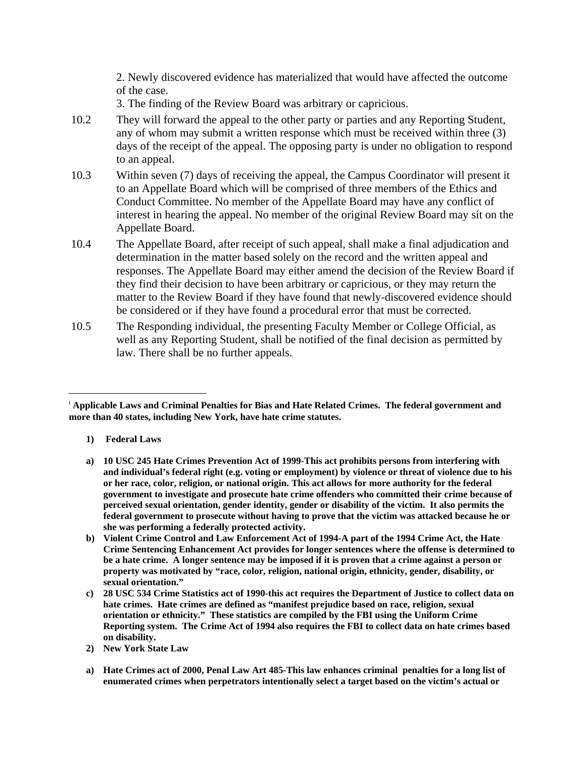2. Newly discovered evidence has materialized that would have affected the outcome of the case.

3. The finding of the Review Board was arbitrary or capricious.

- 10.2 They will forward the appeal to the other party or parties and any Reporting Student, any of whom may submit a written response which must be received within three (3) days of the receipt of the appeal. The opposing party is under no obligation to respond to an appeal.
- 10.3 Within seven (7) days of receiving the appeal, the Campus Coordinator will present it to an Appellate Board which will be comprised of three members of the Ethics and Conduct Committee. No member of the Appellate Board may have any conflict of interest in hearing the appeal. No member of the original Review Board may sit on the Appellate Board.
- 10.4 The Appellate Board, after receipt of such appeal, shall make a final adjudication and determination in the matter based solely on the record and the written appeal and responses. The Appellate Board may either amend the decision of the Review Board if they find their decision to have been arbitrary or capricious, or they may return the matter to the Review Board if they have found that newly-discovered evidence should be considered or if they have found a procedural error that must be corrected.
- 10.5 The Responding individual, the presenting Faculty Member or College Official, as well as any Reporting Student, shall be notified of the final decision as permitted by law. There shall be no further appeals.

**1) Federal Laws**

 $\overline{\phantom{a}}$ 

**a) 10 USC 245 Hate Crimes Prevention Act of 1999-This act prohibits persons from interfering with and individual's federal right (e.g. voting or employment) by violence or threat of violence due to his or her race, color, religion, or national origin. This act allows for more authority for the federal government to investigate and prosecute hate crime offenders who committed their crime because of perceived sexual orientation, gender identity, gender or disability of the victim. It also permits the federal government to prosecute without having to prove that the victim was attacked because he or she was performing a federally protected activity.**

**a) Hate Crimes act of 2000, Penal Law Art 485-This law enhances criminal penalties for a long list of enumerated crimes when perpetrators intentionally select a target based on the victim's actual or** 

<span id="page-26-0"></span><sup>i</sup> **Applicable Laws and Criminal Penalties for Bias and Hate Related Crimes. The federal government and more than 40 states, including New York, have hate crime statutes.**

**b) Violent Crime Control and Law Enforcement Act of 1994-A part of the 1994 Crime Act, the Hate Crime Sentencing Enhancement Act provides for longer sentences where the offense is determined to be a hate crime. A longer sentence may be imposed if it is proven that a crime against a person or property was motivated by "race, color, religion, national origin, ethnicity, gender, disability, or sexual orientation."**

**c) 28 USC 534 Crime Statistics act of 1990-this act requires the Department of Justice to collect data on hate crimes. Hate crimes are defined as "manifest prejudice based on race, religion, sexual orientation or ethnicity." These statistics are compiled by the FBI using the Uniform Crime Reporting system. The Crime Act of 1994 also requires the FBI to collect data on hate crimes based on disability.**

**<sup>2)</sup> New York State Law**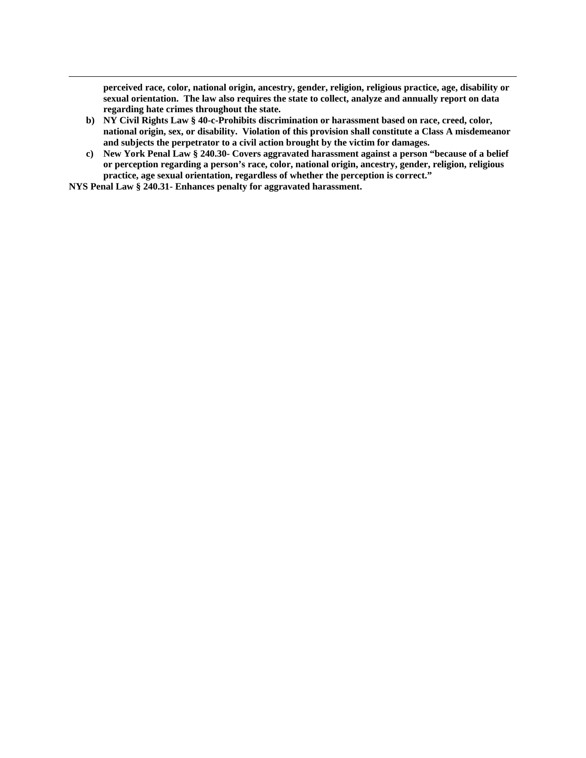**perceived race, color, national origin, ancestry, gender, religion, religious practice, age, disability or sexual orientation. The law also requires the state to collect, analyze and annually report on data regarding hate crimes throughout the state.**

- **b) NY Civil Rights Law § 40-c-Prohibits discrimination or harassment based on race, creed, color, national origin, sex, or disability. Violation of this provision shall constitute a Class A misdemeanor and subjects the perpetrator to a civil action brought by the victim for damages.**
- **c) New York Penal Law § 240.30- Covers aggravated harassment against a person "because of a belief or perception regarding a person's race, color, national origin, ancestry, gender, religion, religious practice, age sexual orientation, regardless of whether the perception is correct."**

**NYS Penal Law § 240.31- Enhances penalty for aggravated harassment.**

 $\overline{\phantom{a}}$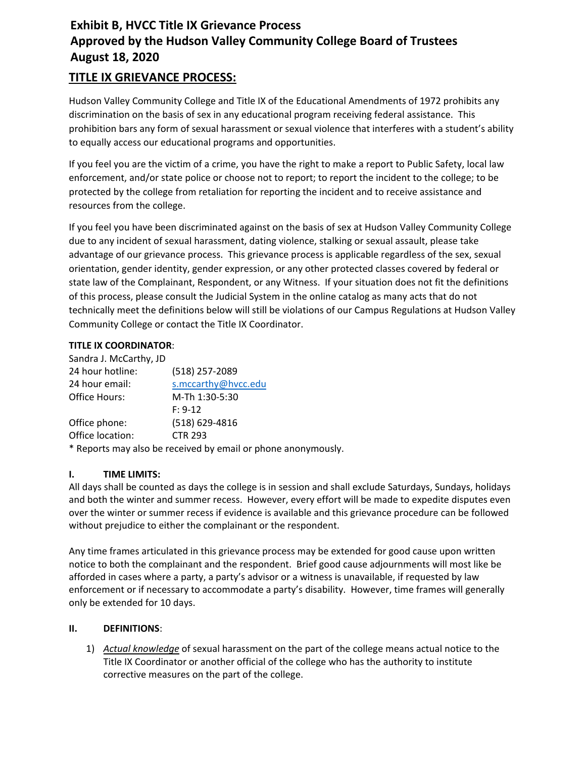# **Exhibit B, HVCC Title IX Grievance Process Approved by the Hudson Valley Community College Board of Trustees August 18, 2020**

# **TITLE IX GRIEVANCE PROCESS:**

Hudson Valley Community College and Title IX of the Educational Amendments of 1972 prohibits any discrimination on the basis of sex in any educational program receiving federal assistance. This prohibition bars any form of sexual harassment or sexual violence that interferes with a student's ability to equally access our educational programs and opportunities.

If you feel you are the victim of a crime, you have the right to make a report to Public Safety, local law enforcement, and/or state police or choose not to report; to report the incident to the college; to be protected by the college from retaliation for reporting the incident and to receive assistance and resources from the college.

If you feel you have been discriminated against on the basis of sex at Hudson Valley Community College due to any incident of sexual harassment, dating violence, stalking or sexual assault, please take advantage of our grievance process. This grievance process is applicable regardless of the sex, sexual orientation, gender identity, gender expression, or any other protected classes covered by federal or state law of the Complainant, Respondent, or any Witness. If your situation does not fit the definitions of this process, please consult the Judicial System in the online catalog as many acts that do not technically meet the definitions below will still be violations of our Campus Regulations at Hudson Valley Community College or contact the Title IX Coordinator.

#### **TITLE IX COORDINATOR**:

| Sandra J. McCarthy, JD |                                                                                                                |
|------------------------|----------------------------------------------------------------------------------------------------------------|
| 24 hour hotline:       | (518) 257-2089                                                                                                 |
| 24 hour email:         | s.mccarthy@hvcc.edu                                                                                            |
| <b>Office Hours:</b>   | M-Th 1:30-5:30                                                                                                 |
|                        | $F: 9-12$                                                                                                      |
| Office phone:          | (518) 629-4816                                                                                                 |
| Office location:       | <b>CTR 293</b>                                                                                                 |
|                        | לא אישי המוסיק בין המוסיק בין המוסיק המוסיק בין המוסיק המוסיק בין המוסיק המוסיק המוסיק המוסיק המוסיק המוסיק המ |

\* Reports may also be received by email or phone anonymously.

## **I. TIME LIMITS:**

All days shall be counted as days the college is in session and shall exclude Saturdays, Sundays, holidays and both the winter and summer recess. However, every effort will be made to expedite disputes even over the winter or summer recess if evidence is available and this grievance procedure can be followed without prejudice to either the complainant or the respondent.

Any time frames articulated in this grievance process may be extended for good cause upon written notice to both the complainant and the respondent. Brief good cause adjournments will most like be afforded in cases where a party, a party's advisor or a witness is unavailable, if requested by law enforcement or if necessary to accommodate a party's disability. However, time frames will generally only be extended for 10 days.

#### **II. DEFINITIONS**:

1) *Actual knowledge* of sexual harassment on the part of the college means actual notice to the Title IX Coordinator or another official of the college who has the authority to institute corrective measures on the part of the college.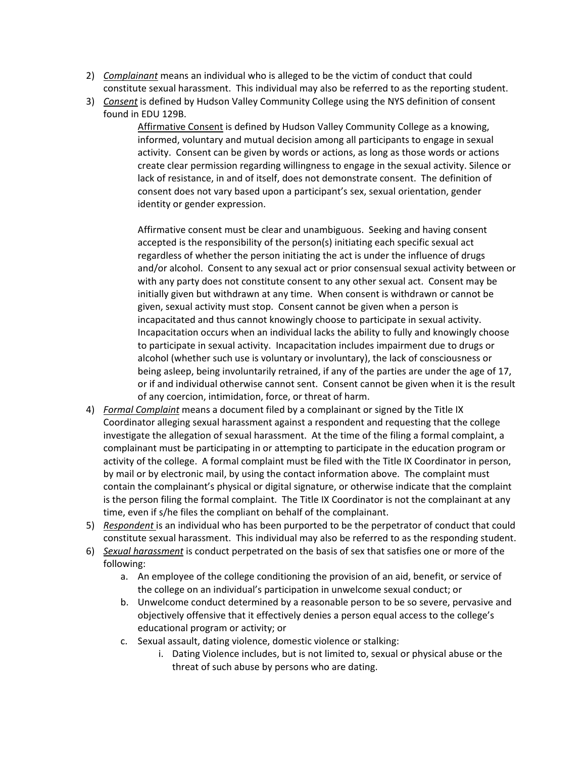- 2) *Complainant* means an individual who is alleged to be the victim of conduct that could constitute sexual harassment. This individual may also be referred to as the reporting student.
- 3) *Consent* is defined by Hudson Valley Community College using the NYS definition of consent found in EDU 129B.

Affirmative Consent is defined by Hudson Valley Community College as a knowing, informed, voluntary and mutual decision among all participants to engage in sexual activity. Consent can be given by words or actions, as long as those words or actions create clear permission regarding willingness to engage in the sexual activity. Silence or lack of resistance, in and of itself, does not demonstrate consent. The definition of consent does not vary based upon a participant's sex, sexual orientation, gender identity or gender expression.

Affirmative consent must be clear and unambiguous. Seeking and having consent accepted is the responsibility of the person(s) initiating each specific sexual act regardless of whether the person initiating the act is under the influence of drugs and/or alcohol. Consent to any sexual act or prior consensual sexual activity between or with any party does not constitute consent to any other sexual act. Consent may be initially given but withdrawn at any time. When consent is withdrawn or cannot be given, sexual activity must stop. Consent cannot be given when a person is incapacitated and thus cannot knowingly choose to participate in sexual activity. Incapacitation occurs when an individual lacks the ability to fully and knowingly choose to participate in sexual activity. Incapacitation includes impairment due to drugs or alcohol (whether such use is voluntary or involuntary), the lack of consciousness or being asleep, being involuntarily retrained, if any of the parties are under the age of 17, or if and individual otherwise cannot sent. Consent cannot be given when it is the result of any coercion, intimidation, force, or threat of harm.

- 4) *Formal Complaint* means a document filed by a complainant or signed by the Title IX Coordinator alleging sexual harassment against a respondent and requesting that the college investigate the allegation of sexual harassment. At the time of the filing a formal complaint, a complainant must be participating in or attempting to participate in the education program or activity of the college. A formal complaint must be filed with the Title IX Coordinator in person, by mail or by electronic mail, by using the contact information above. The complaint must contain the complainant's physical or digital signature, or otherwise indicate that the complaint is the person filing the formal complaint. The Title IX Coordinator is not the complainant at any time, even if s/he files the compliant on behalf of the complainant.
- 5) *Respondent* is an individual who has been purported to be the perpetrator of conduct that could constitute sexual harassment. This individual may also be referred to as the responding student.
- 6) *Sexual harassment* is conduct perpetrated on the basis of sex that satisfies one or more of the following:
	- a. An employee of the college conditioning the provision of an aid, benefit, or service of the college on an individual's participation in unwelcome sexual conduct; or
	- b. Unwelcome conduct determined by a reasonable person to be so severe, pervasive and objectively offensive that it effectively denies a person equal access to the college's educational program or activity; or
	- c. Sexual assault, dating violence, domestic violence or stalking:
		- i. Dating Violence includes, but is not limited to, sexual or physical abuse or the threat of such abuse by persons who are dating.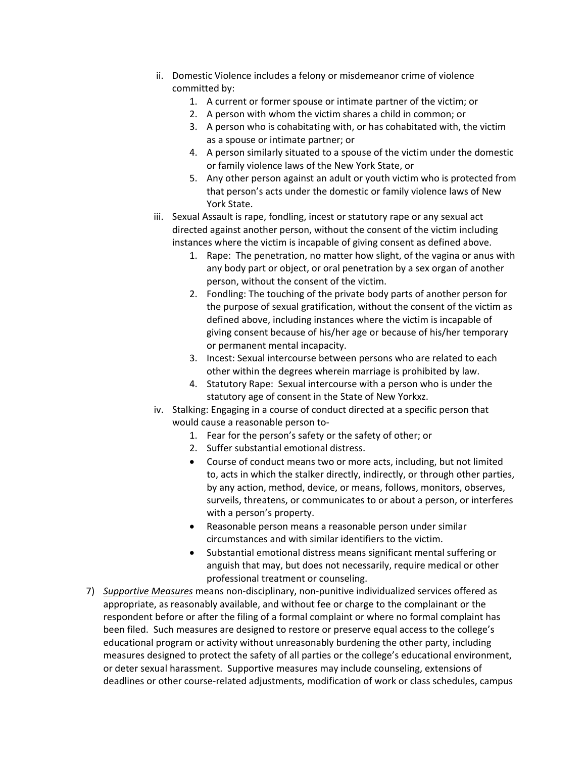- ii. Domestic Violence includes a felony or misdemeanor crime of violence committed by:
	- 1. A current or former spouse or intimate partner of the victim; or
	- 2. A person with whom the victim shares a child in common; or
	- 3. A person who is cohabitating with, or has cohabitated with, the victim as a spouse or intimate partner; or
	- 4. A person similarly situated to a spouse of the victim under the domestic or family violence laws of the New York State, or
	- 5. Any other person against an adult or youth victim who is protected from that person's acts under the domestic or family violence laws of New York State.
- iii. Sexual Assault is rape, fondling, incest or statutory rape or any sexual act directed against another person, without the consent of the victim including instances where the victim is incapable of giving consent as defined above.
	- 1. Rape: The penetration, no matter how slight, of the vagina or anus with any body part or object, or oral penetration by a sex organ of another person, without the consent of the victim.
	- 2. Fondling: The touching of the private body parts of another person for the purpose of sexual gratification, without the consent of the victim as defined above, including instances where the victim is incapable of giving consent because of his/her age or because of his/her temporary or permanent mental incapacity.
	- 3. Incest: Sexual intercourse between persons who are related to each other within the degrees wherein marriage is prohibited by law.
	- 4. Statutory Rape: Sexual intercourse with a person who is under the statutory age of consent in the State of New Yorkxz.
- iv. Stalking: Engaging in a course of conduct directed at a specific person that would cause a reasonable person to-
	- 1. Fear for the person's safety or the safety of other; or
	- 2. Suffer substantial emotional distress.
	- Course of conduct means two or more acts, including, but not limited to, acts in which the stalker directly, indirectly, or through other parties, by any action, method, device, or means, follows, monitors, observes, surveils, threatens, or communicates to or about a person, or interferes with a person's property.
	- Reasonable person means a reasonable person under similar circumstances and with similar identifiers to the victim.
	- Substantial emotional distress means significant mental suffering or anguish that may, but does not necessarily, require medical or other professional treatment or counseling.
- 7) *Supportive Measures* means non-disciplinary, non-punitive individualized services offered as appropriate, as reasonably available, and without fee or charge to the complainant or the respondent before or after the filing of a formal complaint or where no formal complaint has been filed. Such measures are designed to restore or preserve equal access to the college's educational program or activity without unreasonably burdening the other party, including measures designed to protect the safety of all parties or the college's educational environment, or deter sexual harassment. Supportive measures may include counseling, extensions of deadlines or other course-related adjustments, modification of work or class schedules, campus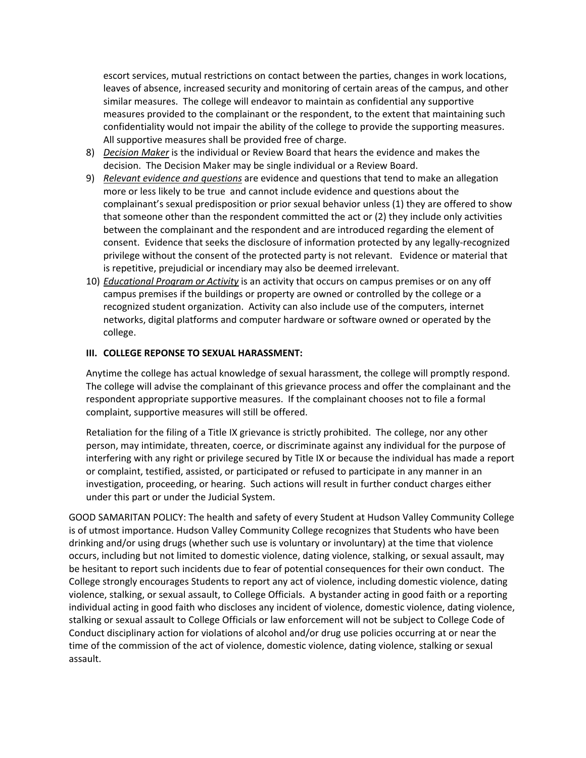escort services, mutual restrictions on contact between the parties, changes in work locations, leaves of absence, increased security and monitoring of certain areas of the campus, and other similar measures. The college will endeavor to maintain as confidential any supportive measures provided to the complainant or the respondent, to the extent that maintaining such confidentiality would not impair the ability of the college to provide the supporting measures. All supportive measures shall be provided free of charge.

- 8) *Decision Maker* is the individual or Review Board that hears the evidence and makes the decision. The Decision Maker may be single individual or a Review Board.
- 9) *Relevant evidence and questions* are evidence and questions that tend to make an allegation more or less likely to be true and cannot include evidence and questions about the complainant's sexual predisposition or prior sexual behavior unless (1) they are offered to show that someone other than the respondent committed the act or (2) they include only activities between the complainant and the respondent and are introduced regarding the element of consent. Evidence that seeks the disclosure of information protected by any legally-recognized privilege without the consent of the protected party is not relevant. Evidence or material that is repetitive, prejudicial or incendiary may also be deemed irrelevant.
- 10) *Educational Program or Activity* is an activity that occurs on campus premises or on any off campus premises if the buildings or property are owned or controlled by the college or a recognized student organization. Activity can also include use of the computers, internet networks, digital platforms and computer hardware or software owned or operated by the college.

#### **III. COLLEGE REPONSE TO SEXUAL HARASSMENT:**

Anytime the college has actual knowledge of sexual harassment, the college will promptly respond. The college will advise the complainant of this grievance process and offer the complainant and the respondent appropriate supportive measures. If the complainant chooses not to file a formal complaint, supportive measures will still be offered.

Retaliation for the filing of a Title IX grievance is strictly prohibited. The college, nor any other person, may intimidate, threaten, coerce, or discriminate against any individual for the purpose of interfering with any right or privilege secured by Title IX or because the individual has made a report or complaint, testified, assisted, or participated or refused to participate in any manner in an investigation, proceeding, or hearing. Such actions will result in further conduct charges either under this part or under the Judicial System.

GOOD SAMARITAN POLICY: The health and safety of every Student at Hudson Valley Community College is of utmost importance. Hudson Valley Community College recognizes that Students who have been drinking and/or using drugs (whether such use is voluntary or involuntary) at the time that violence occurs, including but not limited to domestic violence, dating violence, stalking, or sexual assault, may be hesitant to report such incidents due to fear of potential consequences for their own conduct. The College strongly encourages Students to report any act of violence, including domestic violence, dating violence, stalking, or sexual assault, to College Officials. A bystander acting in good faith or a reporting individual acting in good faith who discloses any incident of violence, domestic violence, dating violence, stalking or sexual assault to College Officials or law enforcement will not be subject to College Code of Conduct disciplinary action for violations of alcohol and/or drug use policies occurring at or near the time of the commission of the act of violence, domestic violence, dating violence, stalking or sexual assault.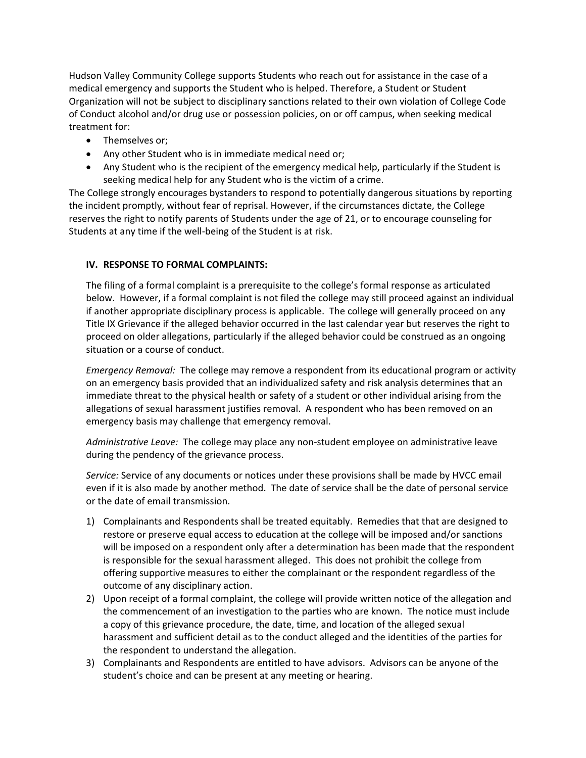Hudson Valley Community College supports Students who reach out for assistance in the case of a medical emergency and supports the Student who is helped. Therefore, a Student or Student Organization will not be subject to disciplinary sanctions related to their own violation of College Code of Conduct alcohol and/or drug use or possession policies, on or off campus, when seeking medical treatment for:

- Themselves or;
- Any other Student who is in immediate medical need or;
- Any Student who is the recipient of the emergency medical help, particularly if the Student is seeking medical help for any Student who is the victim of a crime.

The College strongly encourages bystanders to respond to potentially dangerous situations by reporting the incident promptly, without fear of reprisal. However, if the circumstances dictate, the College reserves the right to notify parents of Students under the age of 21, or to encourage counseling for Students at any time if the well-being of the Student is at risk.

#### **IV. RESPONSE TO FORMAL COMPLAINTS:**

The filing of a formal complaint is a prerequisite to the college's formal response as articulated below. However, if a formal complaint is not filed the college may still proceed against an individual if another appropriate disciplinary process is applicable. The college will generally proceed on any Title IX Grievance if the alleged behavior occurred in the last calendar year but reserves the right to proceed on older allegations, particularly if the alleged behavior could be construed as an ongoing situation or a course of conduct.

*Emergency Removal:* The college may remove a respondent from its educational program or activity on an emergency basis provided that an individualized safety and risk analysis determines that an immediate threat to the physical health or safety of a student or other individual arising from the allegations of sexual harassment justifies removal. A respondent who has been removed on an emergency basis may challenge that emergency removal.

*Administrative Leave:* The college may place any non-student employee on administrative leave during the pendency of the grievance process.

*Service:* Service of any documents or notices under these provisions shall be made by HVCC email even if it is also made by another method. The date of service shall be the date of personal service or the date of email transmission.

- 1) Complainants and Respondents shall be treated equitably. Remedies that that are designed to restore or preserve equal access to education at the college will be imposed and/or sanctions will be imposed on a respondent only after a determination has been made that the respondent is responsible for the sexual harassment alleged. This does not prohibit the college from offering supportive measures to either the complainant or the respondent regardless of the outcome of any disciplinary action.
- 2) Upon receipt of a formal complaint, the college will provide written notice of the allegation and the commencement of an investigation to the parties who are known. The notice must include a copy of this grievance procedure, the date, time, and location of the alleged sexual harassment and sufficient detail as to the conduct alleged and the identities of the parties for the respondent to understand the allegation.
- 3) Complainants and Respondents are entitled to have advisors. Advisors can be anyone of the student's choice and can be present at any meeting or hearing.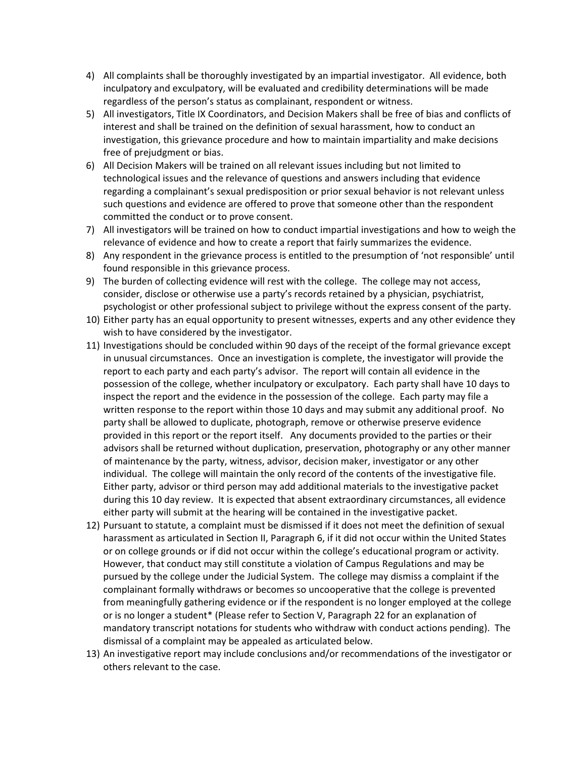- 4) All complaints shall be thoroughly investigated by an impartial investigator. All evidence, both inculpatory and exculpatory, will be evaluated and credibility determinations will be made regardless of the person's status as complainant, respondent or witness.
- 5) All investigators, Title IX Coordinators, and Decision Makers shall be free of bias and conflicts of interest and shall be trained on the definition of sexual harassment, how to conduct an investigation, this grievance procedure and how to maintain impartiality and make decisions free of prejudgment or bias.
- 6) All Decision Makers will be trained on all relevant issues including but not limited to technological issues and the relevance of questions and answers including that evidence regarding a complainant's sexual predisposition or prior sexual behavior is not relevant unless such questions and evidence are offered to prove that someone other than the respondent committed the conduct or to prove consent.
- 7) All investigators will be trained on how to conduct impartial investigations and how to weigh the relevance of evidence and how to create a report that fairly summarizes the evidence.
- 8) Any respondent in the grievance process is entitled to the presumption of 'not responsible' until found responsible in this grievance process.
- 9) The burden of collecting evidence will rest with the college. The college may not access, consider, disclose or otherwise use a party's records retained by a physician, psychiatrist, psychologist or other professional subject to privilege without the express consent of the party.
- 10) Either party has an equal opportunity to present witnesses, experts and any other evidence they wish to have considered by the investigator.
- 11) Investigations should be concluded within 90 days of the receipt of the formal grievance except in unusual circumstances. Once an investigation is complete, the investigator will provide the report to each party and each party's advisor. The report will contain all evidence in the possession of the college, whether inculpatory or exculpatory. Each party shall have 10 days to inspect the report and the evidence in the possession of the college. Each party may file a written response to the report within those 10 days and may submit any additional proof. No party shall be allowed to duplicate, photograph, remove or otherwise preserve evidence provided in this report or the report itself. Any documents provided to the parties or their advisors shall be returned without duplication, preservation, photography or any other manner of maintenance by the party, witness, advisor, decision maker, investigator or any other individual. The college will maintain the only record of the contents of the investigative file. Either party, advisor or third person may add additional materials to the investigative packet during this 10 day review. It is expected that absent extraordinary circumstances, all evidence either party will submit at the hearing will be contained in the investigative packet.
- 12) Pursuant to statute, a complaint must be dismissed if it does not meet the definition of sexual harassment as articulated in Section II, Paragraph 6, if it did not occur within the United States or on college grounds or if did not occur within the college's educational program or activity. However, that conduct may still constitute a violation of Campus Regulations and may be pursued by the college under the Judicial System. The college may dismiss a complaint if the complainant formally withdraws or becomes so uncooperative that the college is prevented from meaningfully gathering evidence or if the respondent is no longer employed at the college or is no longer a student\* (Please refer to Section V, Paragraph 22 for an explanation of mandatory transcript notations for students who withdraw with conduct actions pending). The dismissal of a complaint may be appealed as articulated below.
- 13) An investigative report may include conclusions and/or recommendations of the investigator or others relevant to the case.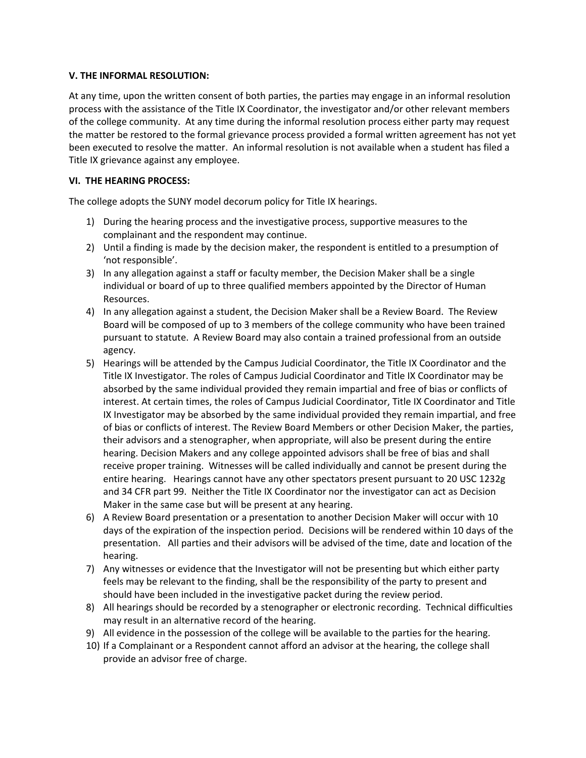#### **V. THE INFORMAL RESOLUTION:**

At any time, upon the written consent of both parties, the parties may engage in an informal resolution process with the assistance of the Title IX Coordinator, the investigator and/or other relevant members of the college community. At any time during the informal resolution process either party may request the matter be restored to the formal grievance process provided a formal written agreement has not yet been executed to resolve the matter. An informal resolution is not available when a student has filed a Title IX grievance against any employee.

#### **VI. THE HEARING PROCESS:**

The college adopts the SUNY model decorum policy for Title IX hearings.

- 1) During the hearing process and the investigative process, supportive measures to the complainant and the respondent may continue.
- 2) Until a finding is made by the decision maker, the respondent is entitled to a presumption of 'not responsible'.
- 3) In any allegation against a staff or faculty member, the Decision Maker shall be a single individual or board of up to three qualified members appointed by the Director of Human Resources.
- 4) In any allegation against a student, the Decision Maker shall be a Review Board. The Review Board will be composed of up to 3 members of the college community who have been trained pursuant to statute. A Review Board may also contain a trained professional from an outside agency.
- 5) Hearings will be attended by the Campus Judicial Coordinator, the Title IX Coordinator and the Title IX Investigator. The roles of Campus Judicial Coordinator and Title IX Coordinator may be absorbed by the same individual provided they remain impartial and free of bias or conflicts of interest. At certain times, the roles of Campus Judicial Coordinator, Title IX Coordinator and Title IX Investigator may be absorbed by the same individual provided they remain impartial, and free of bias or conflicts of interest. The Review Board Members or other Decision Maker, the parties, their advisors and a stenographer, when appropriate, will also be present during the entire hearing. Decision Makers and any college appointed advisors shall be free of bias and shall receive proper training. Witnesses will be called individually and cannot be present during the entire hearing. Hearings cannot have any other spectators present pursuant to 20 USC 1232g and 34 CFR part 99. Neither the Title IX Coordinator nor the investigator can act as Decision Maker in the same case but will be present at any hearing.
- 6) A Review Board presentation or a presentation to another Decision Maker will occur with 10 days of the expiration of the inspection period. Decisions will be rendered within 10 days of the presentation. All parties and their advisors will be advised of the time, date and location of the hearing.
- 7) Any witnesses or evidence that the Investigator will not be presenting but which either party feels may be relevant to the finding, shall be the responsibility of the party to present and should have been included in the investigative packet during the review period.
- 8) All hearings should be recorded by a stenographer or electronic recording. Technical difficulties may result in an alternative record of the hearing.
- 9) All evidence in the possession of the college will be available to the parties for the hearing.
- 10) If a Complainant or a Respondent cannot afford an advisor at the hearing, the college shall provide an advisor free of charge.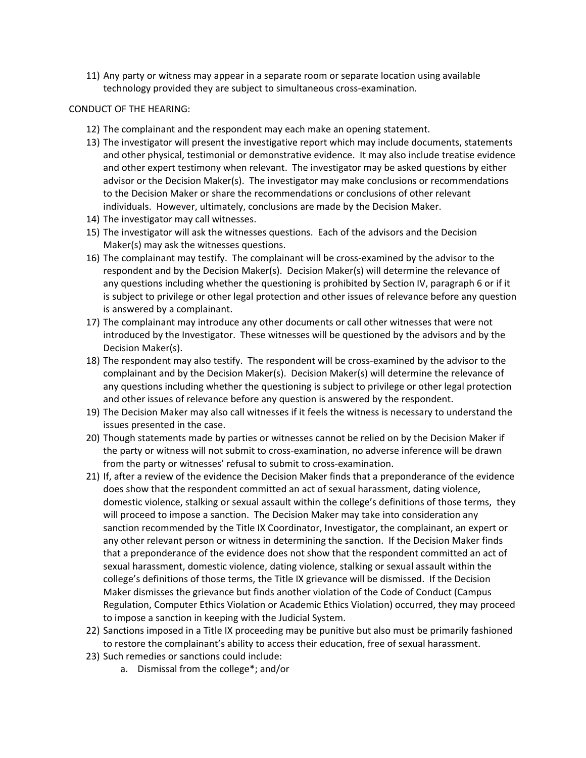11) Any party or witness may appear in a separate room or separate location using available technology provided they are subject to simultaneous cross-examination.

#### CONDUCT OF THE HEARING:

- 12) The complainant and the respondent may each make an opening statement.
- 13) The investigator will present the investigative report which may include documents, statements and other physical, testimonial or demonstrative evidence. It may also include treatise evidence and other expert testimony when relevant. The investigator may be asked questions by either advisor or the Decision Maker(s). The investigator may make conclusions or recommendations to the Decision Maker or share the recommendations or conclusions of other relevant individuals. However, ultimately, conclusions are made by the Decision Maker.
- 14) The investigator may call witnesses.
- 15) The investigator will ask the witnesses questions. Each of the advisors and the Decision Maker(s) may ask the witnesses questions.
- 16) The complainant may testify. The complainant will be cross-examined by the advisor to the respondent and by the Decision Maker(s). Decision Maker(s) will determine the relevance of any questions including whether the questioning is prohibited by Section IV, paragraph 6 or if it is subject to privilege or other legal protection and other issues of relevance before any question is answered by a complainant.
- 17) The complainant may introduce any other documents or call other witnesses that were not introduced by the Investigator. These witnesses will be questioned by the advisors and by the Decision Maker(s).
- 18) The respondent may also testify. The respondent will be cross-examined by the advisor to the complainant and by the Decision Maker(s). Decision Maker(s) will determine the relevance of any questions including whether the questioning is subject to privilege or other legal protection and other issues of relevance before any question is answered by the respondent.
- 19) The Decision Maker may also call witnesses if it feels the witness is necessary to understand the issues presented in the case.
- 20) Though statements made by parties or witnesses cannot be relied on by the Decision Maker if the party or witness will not submit to cross-examination, no adverse inference will be drawn from the party or witnesses' refusal to submit to cross-examination.
- 21) If, after a review of the evidence the Decision Maker finds that a preponderance of the evidence does show that the respondent committed an act of sexual harassment, dating violence, domestic violence, stalking or sexual assault within the college's definitions of those terms, they will proceed to impose a sanction. The Decision Maker may take into consideration any sanction recommended by the Title IX Coordinator, Investigator, the complainant, an expert or any other relevant person or witness in determining the sanction. If the Decision Maker finds that a preponderance of the evidence does not show that the respondent committed an act of sexual harassment, domestic violence, dating violence, stalking or sexual assault within the college's definitions of those terms, the Title IX grievance will be dismissed. If the Decision Maker dismisses the grievance but finds another violation of the Code of Conduct (Campus Regulation, Computer Ethics Violation or Academic Ethics Violation) occurred, they may proceed to impose a sanction in keeping with the Judicial System.
- 22) Sanctions imposed in a Title IX proceeding may be punitive but also must be primarily fashioned to restore the complainant's ability to access their education, free of sexual harassment.
- 23) Such remedies or sanctions could include:
	- a. Dismissal from the college\*; and/or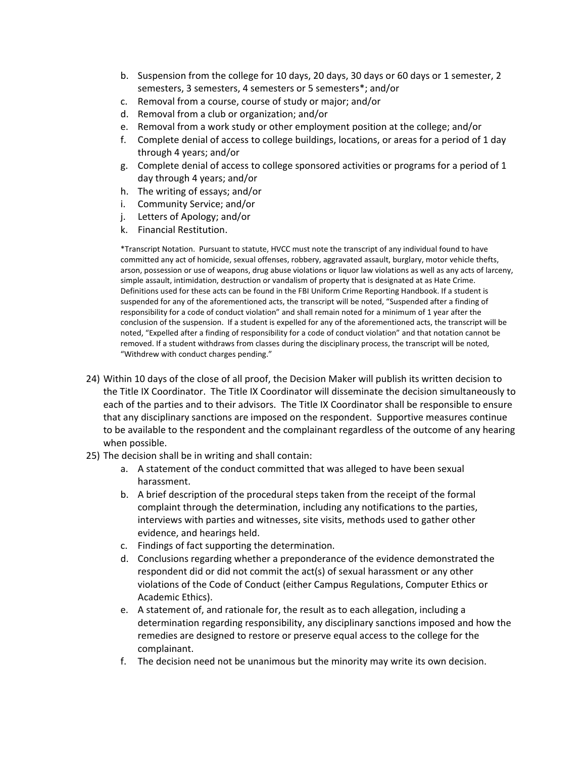- b. Suspension from the college for 10 days, 20 days, 30 days or 60 days or 1 semester, 2 semesters, 3 semesters, 4 semesters or 5 semesters\*; and/or
- c. Removal from a course, course of study or major; and/or
- d. Removal from a club or organization; and/or
- e. Removal from a work study or other employment position at the college; and/or
- f. Complete denial of access to college buildings, locations, or areas for a period of 1 day through 4 years; and/or
- g. Complete denial of access to college sponsored activities or programs for a period of 1 day through 4 years; and/or
- h. The writing of essays; and/or
- i. Community Service; and/or
- j. Letters of Apology; and/or
- k. Financial Restitution.

\*Transcript Notation. Pursuant to statute, HVCC must note the transcript of any individual found to have committed any act of homicide, sexual offenses, robbery, aggravated assault, burglary, motor vehicle thefts, arson, possession or use of weapons, drug abuse violations or liquor law violations as well as any acts of larceny, simple assault, intimidation, destruction or vandalism of property that is designated at as Hate Crime. Definitions used for these acts can be found in the FBI Uniform Crime Reporting Handbook. If a student is suspended for any of the aforementioned acts, the transcript will be noted, "Suspended after a finding of responsibility for a code of conduct violation" and shall remain noted for a minimum of 1 year after the conclusion of the suspension. If a student is expelled for any of the aforementioned acts, the transcript will be noted, "Expelled after a finding of responsibility for a code of conduct violation" and that notation cannot be removed. If a student withdraws from classes during the disciplinary process, the transcript will be noted, "Withdrew with conduct charges pending."

- 24) Within 10 days of the close of all proof, the Decision Maker will publish its written decision to the Title IX Coordinator. The Title IX Coordinator will disseminate the decision simultaneously to each of the parties and to their advisors. The Title IX Coordinator shall be responsible to ensure that any disciplinary sanctions are imposed on the respondent. Supportive measures continue to be available to the respondent and the complainant regardless of the outcome of any hearing when possible.
- 25) The decision shall be in writing and shall contain:
	- a. A statement of the conduct committed that was alleged to have been sexual harassment.
	- b. A brief description of the procedural steps taken from the receipt of the formal complaint through the determination, including any notifications to the parties, interviews with parties and witnesses, site visits, methods used to gather other evidence, and hearings held.
	- c. Findings of fact supporting the determination.
	- d. Conclusions regarding whether a preponderance of the evidence demonstrated the respondent did or did not commit the act(s) of sexual harassment or any other violations of the Code of Conduct (either Campus Regulations, Computer Ethics or Academic Ethics).
	- e. A statement of, and rationale for, the result as to each allegation, including a determination regarding responsibility, any disciplinary sanctions imposed and how the remedies are designed to restore or preserve equal access to the college for the complainant.
	- f. The decision need not be unanimous but the minority may write its own decision.